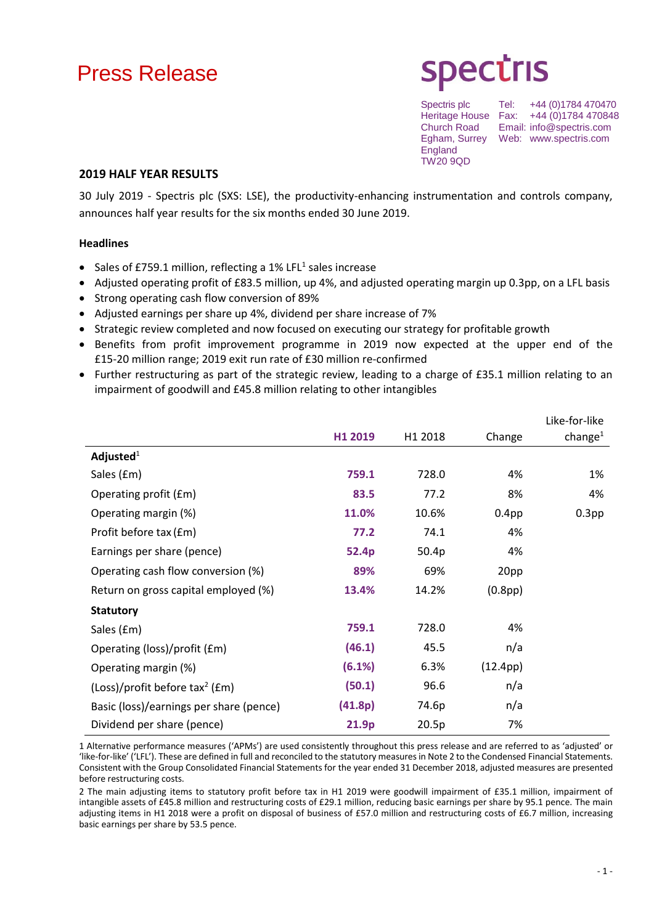# Press Release

# **Spectris**

England TW20 9QD

Spectris plc Tel: +44 (0)1784 470470 Heritage House Fax: +44 (0)1784 470848<br>Church Road Email: info@spectris.com Email: info@spectris.com Egham, Surrey Web: www.spectris.com

### **2019 HALF YEAR RESULTS**

30 July 2019 - Spectris plc (SXS: LSE), the productivity-enhancing instrumentation and controls company, announces half year results for the six months ended 30 June 2019.

#### **Headlines**

- Sales of £759.1 million, reflecting a 1% LFL<sup>1</sup> sales increase
- Adjusted operating profit of £83.5 million, up 4%, and adjusted operating margin up 0.3pp, on a LFL basis
- Strong operating cash flow conversion of 89%
- Adjusted earnings per share up 4%, dividend per share increase of 7%
- Strategic review completed and now focused on executing our strategy for profitable growth
- Benefits from profit improvement programme in 2019 now expected at the upper end of the £15-20 million range; 2019 exit run rate of £30 million re-confirmed
- Further restructuring as part of the strategic review, leading to a charge of £35.1 million relating to an impairment of goodwill and £45.8 million relating to other intangibles

|                                              |         |         |                      | Like-for-like     |
|----------------------------------------------|---------|---------|----------------------|-------------------|
|                                              | H1 2019 | H1 2018 | Change               | change $^1$       |
| Adjusted $1$                                 |         |         |                      |                   |
| Sales (£m)                                   | 759.1   | 728.0   | 4%                   | 1%                |
| Operating profit (£m)                        | 83.5    | 77.2    | 8%                   | 4%                |
| Operating margin (%)                         | 11.0%   | 10.6%   | 0.4 <sub>pp</sub>    | 0.3 <sub>pp</sub> |
| Profit before tax (£m)                       | 77.2    | 74.1    | 4%                   |                   |
| Earnings per share (pence)                   | 52.4p   | 50.4p   | 4%                   |                   |
| Operating cash flow conversion (%)           | 89%     | 69%     | 20pp                 |                   |
| Return on gross capital employed (%)         | 13.4%   | 14.2%   | (0.8 <sub>pp</sub> ) |                   |
| <b>Statutory</b>                             |         |         |                      |                   |
| Sales (£m)                                   | 759.1   | 728.0   | 4%                   |                   |
| Operating (loss)/profit (£m)                 | (46.1)  | 45.5    | n/a                  |                   |
| Operating margin (%)                         | (6.1%)  | 6.3%    | (12.4pp)             |                   |
| $(Loss)/profit$ before tax <sup>2</sup> (£m) | (50.1)  | 96.6    | n/a                  |                   |
| Basic (loss)/earnings per share (pence)      | (41.8p) | 74.6p   | n/a                  |                   |
| Dividend per share (pence)                   | 21.9p   | 20.5p   | 7%                   |                   |

1 Alternative performance measures ('APMs') are used consistently throughout this press release and are referred to as 'adjusted' or 'like-for-like' ('LFL'). These are defined in full and reconciled to the statutory measures in Note 2 to the Condensed Financial Statements. Consistent with the Group Consolidated Financial Statements for the year ended 31 December 2018, adjusted measures are presented before restructuring costs.

2 The main adjusting items to statutory profit before tax in H1 2019 were goodwill impairment of £35.1 million, impairment of intangible assets of £45.8 million and restructuring costs of £29.1 million, reducing basic earnings per share by 95.1 pence. The main adjusting items in H1 2018 were a profit on disposal of business of £57.0 million and restructuring costs of £6.7 million, increasing basic earnings per share by 53.5 pence.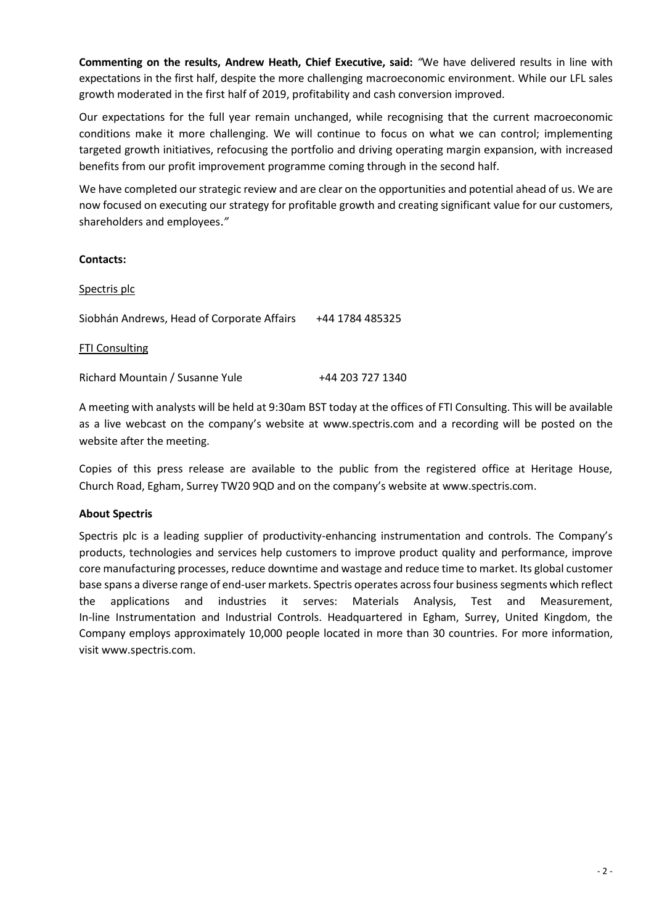**Commenting on the results, Andrew Heath, Chief Executive, said:** *"*We have delivered results in line with expectations in the first half, despite the more challenging macroeconomic environment. While our LFL sales growth moderated in the first half of 2019, profitability and cash conversion improved.

Our expectations for the full year remain unchanged, while recognising that the current macroeconomic conditions make it more challenging. We will continue to focus on what we can control; implementing targeted growth initiatives, refocusing the portfolio and driving operating margin expansion, with increased benefits from our profit improvement programme coming through in the second half.

We have completed our strategic review and are clear on the opportunities and potential ahead of us. We are now focused on executing our strategy for profitable growth and creating significant value for our customers, shareholders and employees.*"*

### **Contacts:**

| Spectris plc                               |                  |
|--------------------------------------------|------------------|
| Siobhán Andrews, Head of Corporate Affairs | +44 1784 485325  |
| <b>FTI Consulting</b>                      |                  |
| Richard Mountain / Susanne Yule            | +44 203 727 1340 |

A meeting with analysts will be held at 9:30am BST today at the offices of FTI Consulting. This will be available as a live webcast on the company's website at [www.spectris.com](http://www.spectris.com/) and a recording will be posted on the website after the meeting.

Copies of this press release are available to the public from the registered office at Heritage House, Church Road, Egham, Surrey TW20 9QD and on the company's website at [www.spectris.com.](http://www.spectris.com/)

#### **About Spectris**

Spectris plc is a leading supplier of productivity-enhancing instrumentation and controls. The Company's products, technologies and services help customers to improve product quality and performance, improve core manufacturing processes, reduce downtime and wastage and reduce time to market. Its global customer base spans a diverse range of end-user markets. Spectris operates across four business segments which reflect the applications and industries it serves: Materials Analysis, Test and Measurement, In-line Instrumentation and Industrial Controls. Headquartered in Egham, Surrey, United Kingdom, the Company employs approximately 10,000 people located in more than 30 countries. For more information, visi[t www.spectris.com.](http://www.spectris.com/)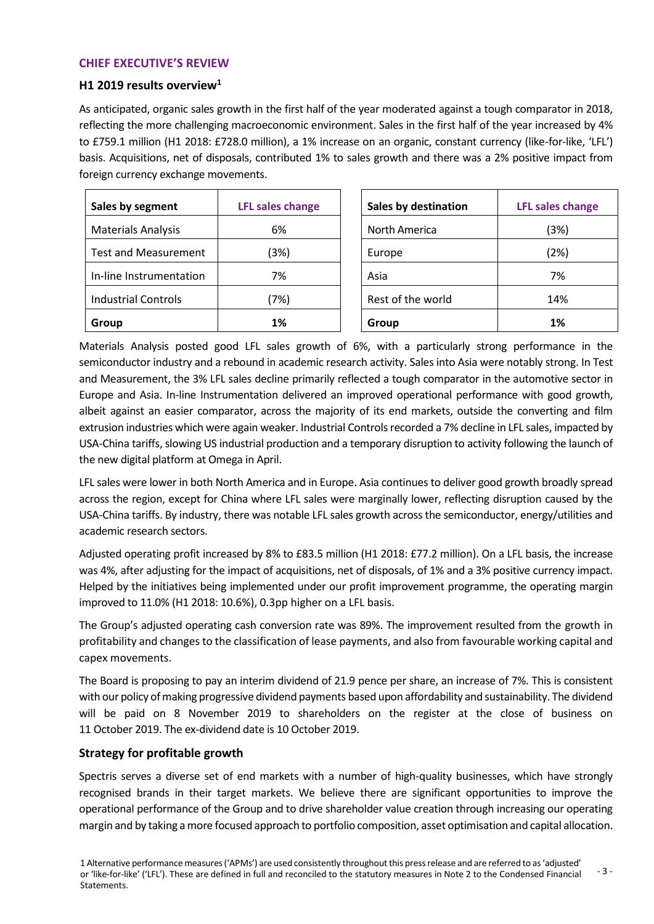#### **CHIEF EXECUTIVE'S REVIEW**

#### **H1 2019 results overview<sup>1</sup>**

As anticipated, organic sales growth in the first half of the year moderated against a tough comparator in 2018, reflecting the more challenging macroeconomic environment. Sales in the first half of the year increased by 4% to £759.1 million (H1 2018: £728.0 million), a 1% increase on an organic, constant currency (like-for-like, 'LFL') basis. Acquisitions, net of disposals, contributed 1% to sales growth and there was a 2% positive impact from foreign currency exchange movements.

| Sales by segment            | <b>LFL sales change</b> | <b>Sales by destination</b> | <b>LFL sales change</b> |
|-----------------------------|-------------------------|-----------------------------|-------------------------|
| <b>Materials Analysis</b>   | 6%                      | North America               | (3%)                    |
| <b>Test and Measurement</b> | (3%)                    | Europe                      | (2%)                    |
| In-line Instrumentation     | 7%                      | Asia                        | 7%                      |
| <b>Industrial Controls</b>  | (7%)                    | Rest of the world           | 14%                     |
| Group                       | 1%                      | Group                       | 1%                      |

Materials Analysis posted good LFL sales growth of 6%, with a particularly strong performance in the semiconductor industry and a rebound in academic research activity. Sales into Asia were notably strong. In Test and Measurement, the 3% LFL sales decline primarily reflected a tough comparator in the automotive sector in Europe and Asia. In-line Instrumentation delivered an improved operational performance with good growth, albeit against an easier comparator, across the majority of its end markets, outside the converting and film extrusion industries which were again weaker. Industrial Controls recorded a 7% decline in LFL sales, impacted by USA-China tariffs, slowing US industrial production and a temporary disruption to activity following the launch of the new digital platform at Omega in April.

LFL sales were lower in both North America and in Europe. Asia continues to deliver good growth broadly spread across the region, except for China where LFL sales were marginally lower, reflecting disruption caused by the USA-China tariffs. By industry, there was notable LFL sales growth across the semiconductor, energy/utilities and academic research sectors.

Adjusted operating profit increased by 8% to £83.5 million (H1 2018: £77.2 million). On a LFL basis, the increase was 4%, after adjusting for the impact of acquisitions, net of disposals, of 1% and a 3% positive currency impact. Helped by the initiatives being implemented under our profit improvement programme, the operating margin improved to 11.0% (H1 2018: 10.6%), 0.3pp higher on a LFL basis.

The Group's adjusted operating cash conversion rate was 89%. The improvement resulted from the growth in profitability and changes to the classification of lease payments, and also from favourable working capital and capex movements.

The Board is proposing to pay an interim dividend of 21.9 pence per share, an increase of 7%. This is consistent with our policy of making progressive dividend payments based upon affordability and sustainability. The dividend will be paid on 8 November 2019 to shareholders on the register at the close of business on 11 October 2019. The ex-dividend date is 10 October 2019.

## **Strategy for profitable growth**

Spectris serves a diverse set of end markets with a number of high-quality businesses, which have strongly recognised brands in their target markets. We believe there are significant opportunities to improve the operational performance of the Group and to drive shareholder value creation through increasing our operating margin and by taking a more focused approach to portfolio composition, asset optimisation and capital allocation.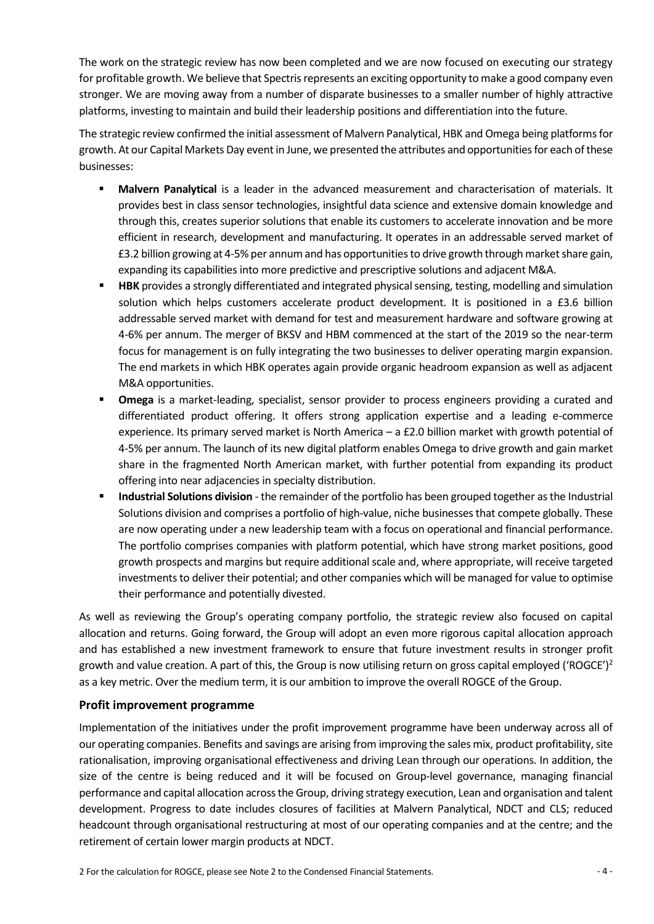The work on the strategic review has now been completed and we are now focused on executing our strategy for profitable growth. We believe that Spectris represents an exciting opportunity to make a good company even stronger. We are moving away from a number of disparate businesses to a smaller number of highly attractive platforms, investing to maintain and build their leadership positions and differentiation into the future.

The strategic review confirmed the initial assessment of Malvern Panalytical, HBK and Omega being platforms for growth. At our Capital Markets Day event in June, we presented the attributes and opportunities for each of these businesses:

- **Malvern Panalytical** is a leader in the advanced measurement and characterisation of materials. It provides best in class sensor technologies, insightful data science and extensive domain knowledge and through this, creates superior solutions that enable its customers to accelerate innovation and be more efficient in research, development and manufacturing. It operates in an addressable served market of £3.2 billion growing at 4-5% per annum and has opportunities to drive growth through market share gain, expanding its capabilities into more predictive and prescriptive solutions and adjacent M&A.
- **E** HBK provides a strongly differentiated and integrated physical sensing, testing, modelling and simulation solution which helps customers accelerate product development. It is positioned in a £3.6 billion addressable served market with demand for test and measurement hardware and software growing at 4-6% per annum. The merger of BKSV and HBM commenced at the start of the 2019 so the near-term focus for management is on fully integrating the two businesses to deliver operating margin expansion. The end markets in which HBK operates again provide organic headroom expansion as well as adjacent M&A opportunities.
- **Omega** is a market-leading, specialist, sensor provider to process engineers providing a curated and differentiated product offering. It offers strong application expertise and a leading e-commerce experience. Its primary served market is North America – a £2.0 billion market with growth potential of 4-5% per annum. The launch of its new digital platform enables Omega to drive growth and gain market share in the fragmented North American market, with further potential from expanding its product offering into near adjacencies in specialty distribution.
- **Industrial Solutions division** the remainder of the portfolio has been grouped together as the Industrial Solutions division and comprises a portfolio of high-value, niche businesses that compete globally. These are now operating under a new leadership team with a focus on operational and financial performance. The portfolio comprises companies with platform potential, which have strong market positions, good growth prospects and margins but require additional scale and, where appropriate, will receive targeted investments to deliver their potential; and other companies which will be managed for value to optimise their performance and potentially divested.

As well as reviewing the Group's operating company portfolio, the strategic review also focused on capital allocation and returns. Going forward, the Group will adopt an even more rigorous capital allocation approach and has established a new investment framework to ensure that future investment results in stronger profit growth and value creation. A part of this, the Group is now utilising return on gross capital employed ('ROGCE')<sup>2</sup> as a key metric. Over the medium term, it is our ambition to improve the overall ROGCE of the Group.

## **Profit improvement programme**

Implementation of the initiatives under the profit improvement programme have been underway across all of our operating companies. Benefits and savings are arising from improving the sales mix, product profitability, site rationalisation, improving organisational effectiveness and driving Lean through our operations. In addition, the size of the centre is being reduced and it will be focused on Group-level governance, managing financial performance and capital allocation across the Group, driving strategy execution, Lean and organisation and talent development. Progress to date includes closures of facilities at Malvern Panalytical, NDCT and CLS; reduced headcount through organisational restructuring at most of our operating companies and at the centre; and the retirement of certain lower margin products at NDCT.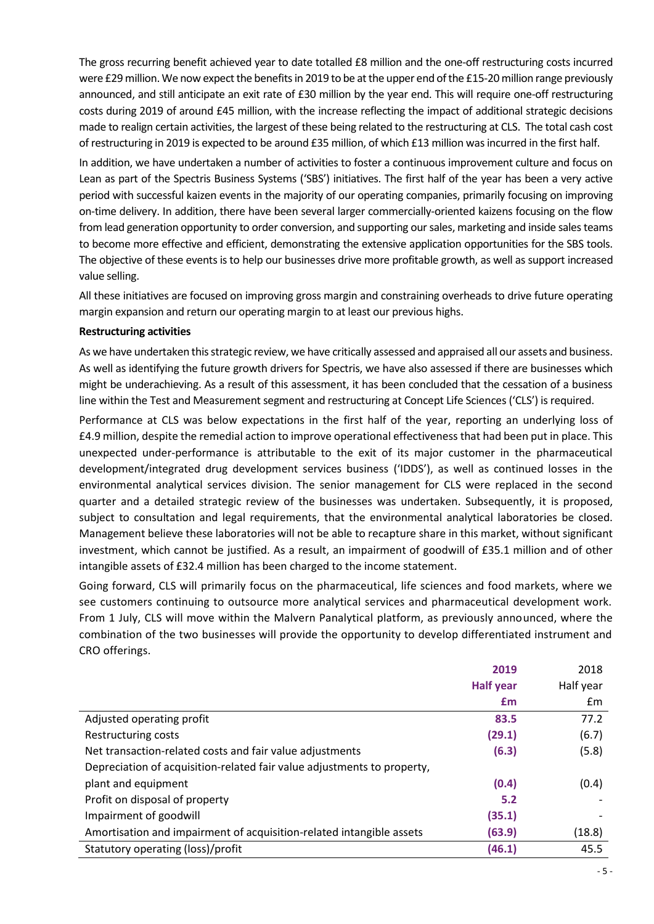The gross recurring benefit achieved year to date totalled £8 million and the one-off restructuring costs incurred were £29million. We now expect the benefits in 2019 to be at the upper end of the £15-20 million range previously announced, and still anticipate an exit rate of £30 million by the year end. This will require one-off restructuring costs during 2019 of around £45 million, with the increase reflecting the impact of additional strategic decisions made to realign certain activities, the largest of these being related to the restructuring at CLS. The total cash cost of restructuring in 2019 is expected to be around £35 million, of which £13 million was incurred in the first half.

In addition, we have undertaken a number of activities to foster a continuous improvement culture and focus on Lean as part of the Spectris Business Systems ('SBS') initiatives. The first half of the year has been a very active period with successful kaizen events in the majority of our operating companies, primarily focusing on improving on-time delivery. In addition, there have been several larger commercially-oriented kaizens focusing on the flow from lead generation opportunity to order conversion, and supporting our sales, marketing and inside sales teams to become more effective and efficient, demonstrating the extensive application opportunities for the SBS tools. The objective of these events is to help our businesses drive more profitable growth, as well as support increased value selling.

All these initiatives are focused on improving gross margin and constraining overheads to drive future operating margin expansion and return our operating margin to at least our previous highs.

#### **Restructuring activities**

As we have undertaken this strategic review, we have critically assessed and appraised all our assets and business. As well as identifying the future growth drivers for Spectris, we have also assessed if there are businesses which might be underachieving. As a result of this assessment, it has been concluded that the cessation of a business line within the Test and Measurement segment and restructuring at Concept Life Sciences ('CLS') is required.

Performance at CLS was below expectations in the first half of the year, reporting an underlying loss of £4.9 million, despite the remedial action to improve operational effectiveness that had been put in place. This unexpected under-performance is attributable to the exit of its major customer in the pharmaceutical development/integrated drug development services business ('IDDS'), as well as continued losses in the environmental analytical services division. The senior management for CLS were replaced in the second quarter and a detailed strategic review of the businesses was undertaken. Subsequently, it is proposed, subject to consultation and legal requirements, that the environmental analytical laboratories be closed. Management believe these laboratories will not be able to recapture share in this market, without significant investment, which cannot be justified. As a result, an impairment of goodwill of £35.1 million and of other intangible assets of £32.4 million has been charged to the income statement.

Going forward, CLS will primarily focus on the pharmaceutical, life sciences and food markets, where we see customers continuing to outsource more analytical services and pharmaceutical development work. From 1 July, CLS will move within the Malvern Panalytical platform, as previously announced, where the combination of the two businesses will provide the opportunity to develop differentiated instrument and CRO offerings.

|                                                                         | 2019             | 2018      |
|-------------------------------------------------------------------------|------------------|-----------|
|                                                                         | <b>Half year</b> | Half year |
|                                                                         | £m               | £m        |
| Adjusted operating profit                                               | 83.5             | 77.2      |
| Restructuring costs                                                     | (29.1)           | (6.7)     |
| Net transaction-related costs and fair value adjustments                | (6.3)            | (5.8)     |
| Depreciation of acquisition-related fair value adjustments to property, |                  |           |
| plant and equipment                                                     | (0.4)            | (0.4)     |
| Profit on disposal of property                                          | 5.2              |           |
| Impairment of goodwill                                                  | (35.1)           |           |
| Amortisation and impairment of acquisition-related intangible assets    | (63.9)           | (18.8)    |
| Statutory operating (loss)/profit                                       | (46.1)           | 45.5      |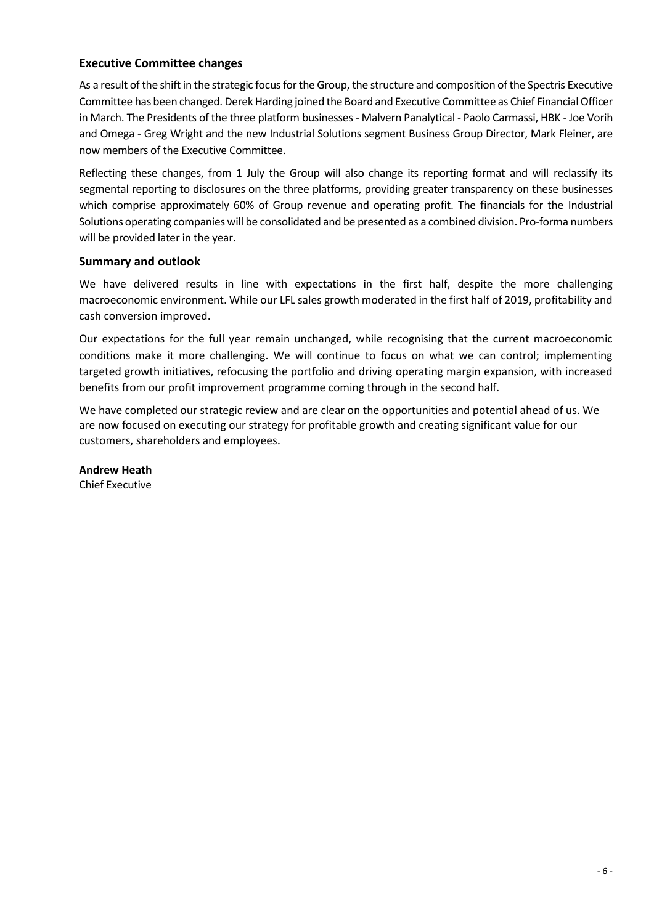# **Executive Committee changes**

As a result of the shift in the strategic focus for the Group, the structure and composition of the Spectris Executive Committee has been changed. Derek Harding joined the Board and Executive Committee as Chief Financial Officer in March. The Presidents of the three platform businesses - Malvern Panalytical - Paolo Carmassi, HBK - Joe Vorih and Omega - Greg Wright and the new Industrial Solutions segment Business Group Director, Mark Fleiner, are now members of the Executive Committee.

Reflecting these changes, from 1 July the Group will also change its reporting format and will reclassify its segmental reporting to disclosures on the three platforms, providing greater transparency on these businesses which comprise approximately 60% of Group revenue and operating profit. The financials for the Industrial Solutions operating companies will be consolidated and be presented as a combined division. Pro-forma numbers will be provided later in the year.

## **Summary and outlook**

We have delivered results in line with expectations in the first half, despite the more challenging macroeconomic environment. While our LFL sales growth moderated in the first half of 2019, profitability and cash conversion improved.

Our expectations for the full year remain unchanged, while recognising that the current macroeconomic conditions make it more challenging. We will continue to focus on what we can control; implementing targeted growth initiatives, refocusing the portfolio and driving operating margin expansion, with increased benefits from our profit improvement programme coming through in the second half.

We have completed our strategic review and are clear on the opportunities and potential ahead of us. We are now focused on executing our strategy for profitable growth and creating significant value for our customers, shareholders and employees.

**Andrew Heath** Chief Executive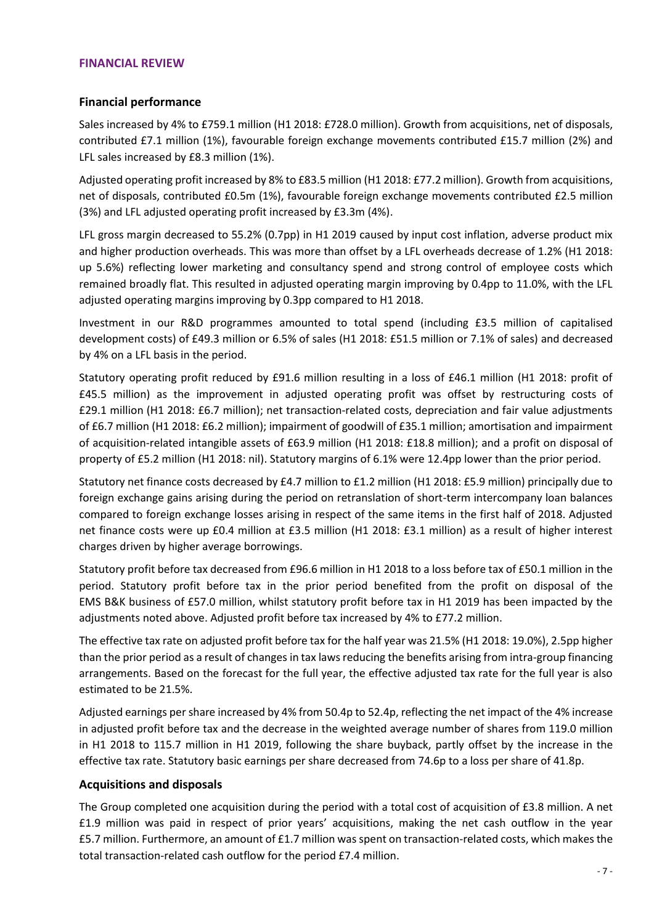#### **FINANCIAL REVIEW**

## **Financial performance**

Sales increased by 4% to £759.1 million (H1 2018: £728.0 million). Growth from acquisitions, net of disposals, contributed £7.1 million (1%), favourable foreign exchange movements contributed £15.7 million (2%) and LFL sales increased by £8.3 million (1%).

Adjusted operating profit increased by 8% to £83.5 million (H1 2018: £77.2 million). Growth from acquisitions, net of disposals, contributed £0.5m (1%), favourable foreign exchange movements contributed £2.5 million (3%) and LFL adjusted operating profit increased by £3.3m (4%).

LFL gross margin decreased to 55.2% (0.7pp) in H1 2019 caused by input cost inflation, adverse product mix and higher production overheads. This was more than offset by a LFL overheads decrease of 1.2% (H1 2018: up 5.6%) reflecting lower marketing and consultancy spend and strong control of employee costs which remained broadly flat. This resulted in adjusted operating margin improving by 0.4pp to 11.0%, with the LFL adjusted operating margins improving by 0.3pp compared to H1 2018.

Investment in our R&D programmes amounted to total spend (including £3.5 million of capitalised development costs) of £49.3 million or 6.5% of sales (H1 2018: £51.5 million or 7.1% of sales) and decreased by 4% on a LFL basis in the period.

Statutory operating profit reduced by £91.6 million resulting in a loss of £46.1 million (H1 2018: profit of £45.5 million) as the improvement in adjusted operating profit was offset by restructuring costs of £29.1 million (H1 2018: £6.7 million); net transaction-related costs, depreciation and fair value adjustments of £6.7 million (H1 2018: £6.2 million); impairment of goodwill of £35.1 million; amortisation and impairment of acquisition-related intangible assets of £63.9 million (H1 2018: £18.8 million); and a profit on disposal of property of £5.2 million (H1 2018: nil). Statutory margins of 6.1% were 12.4pp lower than the prior period.

Statutory net finance costs decreased by £4.7 million to £1.2 million (H1 2018: £5.9 million) principally due to foreign exchange gains arising during the period on retranslation of short-term intercompany loan balances compared to foreign exchange losses arising in respect of the same items in the first half of 2018. Adjusted net finance costs were up £0.4 million at £3.5 million (H1 2018: £3.1 million) as a result of higher interest charges driven by higher average borrowings.

Statutory profit before tax decreased from £96.6 million in H1 2018 to a loss before tax of £50.1 million in the period. Statutory profit before tax in the prior period benefited from the profit on disposal of the EMS B&K business of £57.0 million, whilst statutory profit before tax in H1 2019 has been impacted by the adjustments noted above. Adjusted profit before tax increased by 4% to £77.2 million.

The effective tax rate on adjusted profit before tax for the half year was 21.5% (H1 2018: 19.0%), 2.5pp higher than the prior period as a result of changes in tax laws reducing the benefits arising from intra-group financing arrangements. Based on the forecast for the full year, the effective adjusted tax rate for the full year is also estimated to be 21.5%.

Adjusted earnings per share increased by 4% from 50.4p to 52.4p, reflecting the net impact of the 4% increase in adjusted profit before tax and the decrease in the weighted average number of shares from 119.0 million in H1 2018 to 115.7 million in H1 2019, following the share buyback, partly offset by the increase in the effective tax rate. Statutory basic earnings per share decreased from 74.6p to a loss per share of 41.8p.

#### **Acquisitions and disposals**

The Group completed one acquisition during the period with a total cost of acquisition of £3.8 million. A net £1.9 million was paid in respect of prior years' acquisitions, making the net cash outflow in the year £5.7 million. Furthermore, an amount of £1.7 million was spent on transaction-related costs, which makes the total transaction-related cash outflow for the period £7.4 million.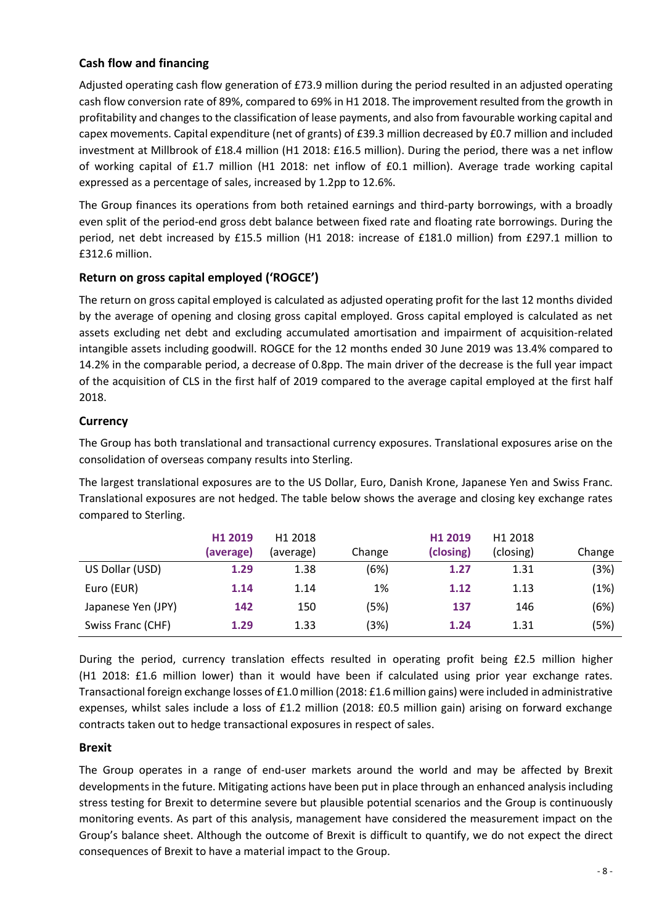# **Cash flow and financing**

Adjusted operating cash flow generation of £73.9 million during the period resulted in an adjusted operating cash flow conversion rate of 89%, compared to 69% in H1 2018. The improvement resulted from the growth in profitability and changes to the classification of lease payments, and also from favourable working capital and capex movements. Capital expenditure (net of grants) of £39.3 million decreased by £0.7 million and included investment at Millbrook of £18.4 million (H1 2018: £16.5 million). During the period, there was a net inflow of working capital of £1.7 million (H1 2018: net inflow of £0.1 million). Average trade working capital expressed as a percentage of sales, increased by 1.2pp to 12.6%.

The Group finances its operations from both retained earnings and third-party borrowings, with a broadly even split of the period-end gross debt balance between fixed rate and floating rate borrowings. During the period, net debt increased by £15.5 million (H1 2018: increase of £181.0 million) from £297.1 million to £312.6 million.

# **Return on gross capital employed ('ROGCE')**

The return on gross capital employed is calculated as adjusted operating profit for the last 12 months divided by the average of opening and closing gross capital employed. Gross capital employed is calculated as net assets excluding net debt and excluding accumulated amortisation and impairment of acquisition-related intangible assets including goodwill. ROGCE for the 12 months ended 30 June 2019 was 13.4% compared to 14.2% in the comparable period, a decrease of 0.8pp. The main driver of the decrease is the full year impact of the acquisition of CLS in the first half of 2019 compared to the average capital employed at the first half 2018.

# **Currency**

The Group has both translational and transactional currency exposures. Translational exposures arise on the consolidation of overseas company results into Sterling.

The largest translational exposures are to the US Dollar, Euro, Danish Krone, Japanese Yen and Swiss Franc. Translational exposures are not hedged. The table below shows the average and closing key exchange rates compared to Sterling.

|                    | H <sub>1</sub> 2019<br>(average) | H <sub>1</sub> 2018<br>(average) | Change | H <sub>1</sub> 2019<br>(closing) | H <sub>1</sub> 2018<br>(closing) | Change |
|--------------------|----------------------------------|----------------------------------|--------|----------------------------------|----------------------------------|--------|
| US Dollar (USD)    | 1.29                             | 1.38                             | (6%)   | 1.27                             | 1.31                             | (3%)   |
| Euro (EUR)         | 1.14                             | 1.14                             | 1%     | 1.12                             | 1.13                             | (1%)   |
| Japanese Yen (JPY) | 142                              | 150                              | (5%)   | 137                              | 146                              | (6%)   |
| Swiss Franc (CHF)  | 1.29                             | 1.33                             | (3%)   | 1.24                             | 1.31                             | (5%)   |

During the period, currency translation effects resulted in operating profit being £2.5 million higher (H1 2018: £1.6 million lower) than it would have been if calculated using prior year exchange rates. Transactional foreign exchange losses of £1.0 million (2018: £1.6 million gains) were included in administrative expenses, whilst sales include a loss of £1.2 million (2018: £0.5 million gain) arising on forward exchange contracts taken out to hedge transactional exposures in respect of sales.

# **Brexit**

The Group operates in a range of end-user markets around the world and may be affected by Brexit developments in the future. Mitigating actions have been put in place through an enhanced analysis including stress testing for Brexit to determine severe but plausible potential scenarios and the Group is continuously monitoring events. As part of this analysis, management have considered the measurement impact on the Group's balance sheet. Although the outcome of Brexit is difficult to quantify, we do not expect the direct consequences of Brexit to have a material impact to the Group.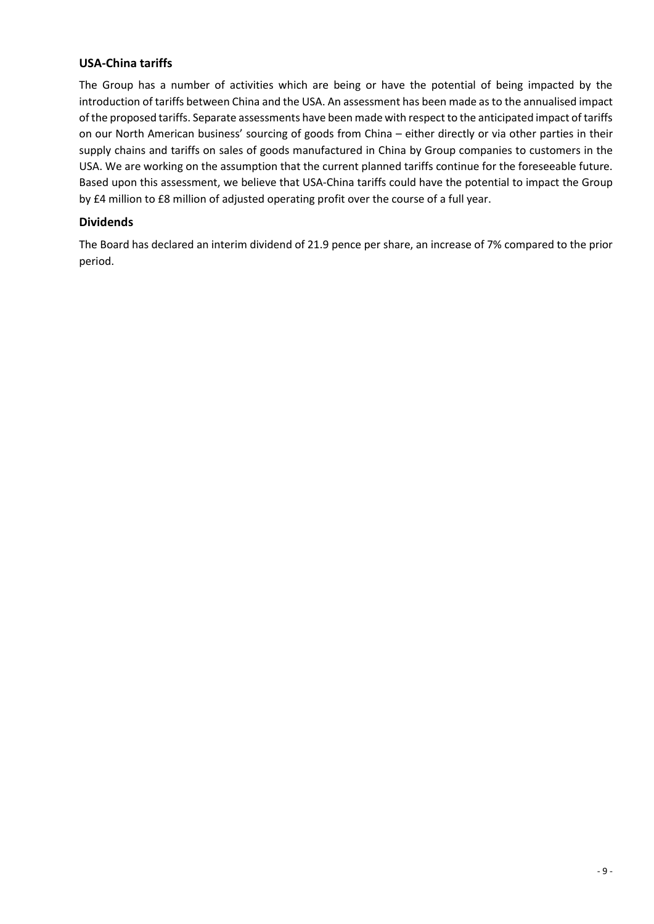# **USA-China tariffs**

The Group has a number of activities which are being or have the potential of being impacted by the introduction of tariffs between China and the USA. An assessment has been made as to the annualised impact of the proposed tariffs. Separate assessments have been made with respect to the anticipated impact of tariffs on our North American business' sourcing of goods from China – either directly or via other parties in their supply chains and tariffs on sales of goods manufactured in China by Group companies to customers in the USA. We are working on the assumption that the current planned tariffs continue for the foreseeable future. Based upon this assessment, we believe that USA-China tariffs could have the potential to impact the Group by £4 million to £8 million of adjusted operating profit over the course of a full year.

# **Dividends**

The Board has declared an interim dividend of 21.9 pence per share, an increase of 7% compared to the prior period.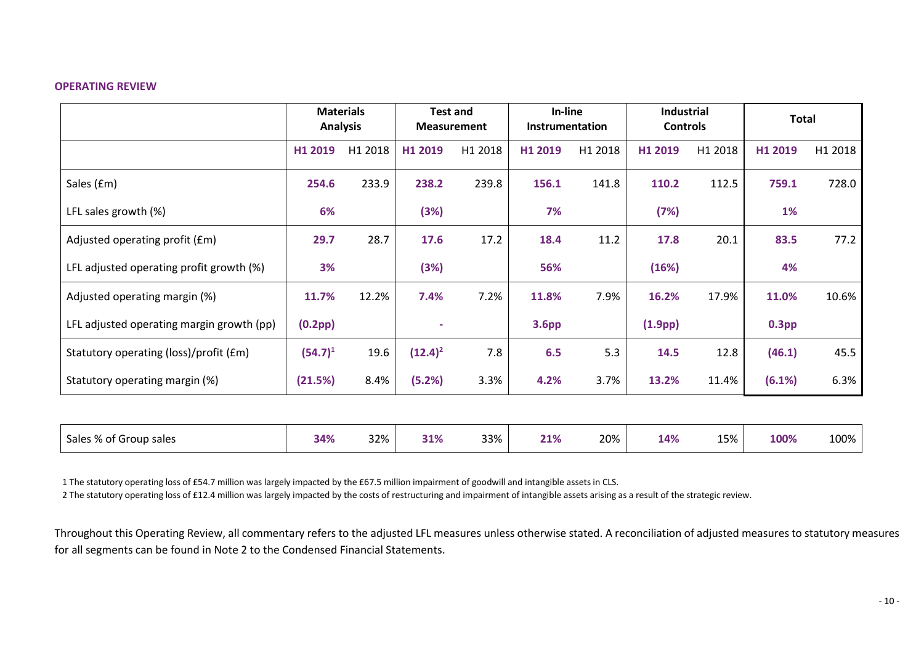#### **OPERATING REVIEW**

|                                           | <b>Materials</b><br><b>Analysis</b> |         | <b>Test and</b><br><b>Measurement</b> |         | In-line<br><b>Instrumentation</b> |         | <b>Industrial</b><br><b>Controls</b> |         | <b>Total</b>      |         |
|-------------------------------------------|-------------------------------------|---------|---------------------------------------|---------|-----------------------------------|---------|--------------------------------------|---------|-------------------|---------|
|                                           | H1 2019                             | H1 2018 | H1 2019                               | H1 2018 | H1 2019                           | H1 2018 | H1 2019                              | H1 2018 | H1 2019           | H1 2018 |
| Sales (£m)                                | 254.6                               | 233.9   | 238.2                                 | 239.8   | 156.1                             | 141.8   | 110.2                                | 112.5   | 759.1             | 728.0   |
| LFL sales growth $(\%)$                   | 6%                                  |         | (3%)                                  |         | 7%                                |         | (7%)                                 |         | <b>1%</b>         |         |
| Adjusted operating profit (£m)            | 29.7                                | 28.7    | 17.6                                  | 17.2    | 18.4                              | 11.2    | 17.8                                 | 20.1    | 83.5              | 77.2    |
| LFL adjusted operating profit growth (%)  | 3%                                  |         | (3%)                                  |         | 56%                               |         | (16%)                                |         | 4%                |         |
| Adjusted operating margin (%)             | 11.7%                               | 12.2%   | 7.4%                                  | 7.2%    | 11.8%                             | 7.9%    | 16.2%                                | 17.9%   | 11.0%             | 10.6%   |
| LFL adjusted operating margin growth (pp) | (0.2pp)                             |         | $\overline{\phantom{0}}$              |         | 3.6 <sub>pp</sub>                 |         | (1.9 <sub>pp</sub> )                 |         | 0.3 <sub>pp</sub> |         |
| Statutory operating (loss)/profit (£m)    | $(54.7)^1$                          | 19.6    | $(12.4)^2$                            | 7.8     | 6.5                               | 5.3     | 14.5                                 | 12.8    | (46.1)            | 45.5    |
| Statutory operating margin (%)            | (21.5%)                             | 8.4%    | (5.2%)                                | 3.3%    | 4.2%                              | 3.7%    | 13.2%                                | 11.4%   | (6.1%)            | 6.3%    |
|                                           |                                     |         |                                       |         |                                   |         |                                      |         |                   |         |

| Sales % of G<br>t Group sales | 32%<br>34%<br>ンマノい | 33%<br>710/<br><b>51%</b> | 20%<br>21% | 15%<br>14% | 100%<br>100% |
|-------------------------------|--------------------|---------------------------|------------|------------|--------------|
|-------------------------------|--------------------|---------------------------|------------|------------|--------------|

1 The statutory operating loss of £54.7 million was largely impacted by the £67.5 million impairment of goodwill and intangible assets in CLS.

2 The statutory operating loss of £12.4 million was largely impacted by the costs of restructuring and impairment of intangible assets arising as a result of the strategic review.

Throughout this Operating Review, all commentary refers to the adjusted LFL measures unless otherwise stated. A reconciliation of adjusted measures to statutory measures for all segments can be found in Note 2 to the Condensed Financial Statements.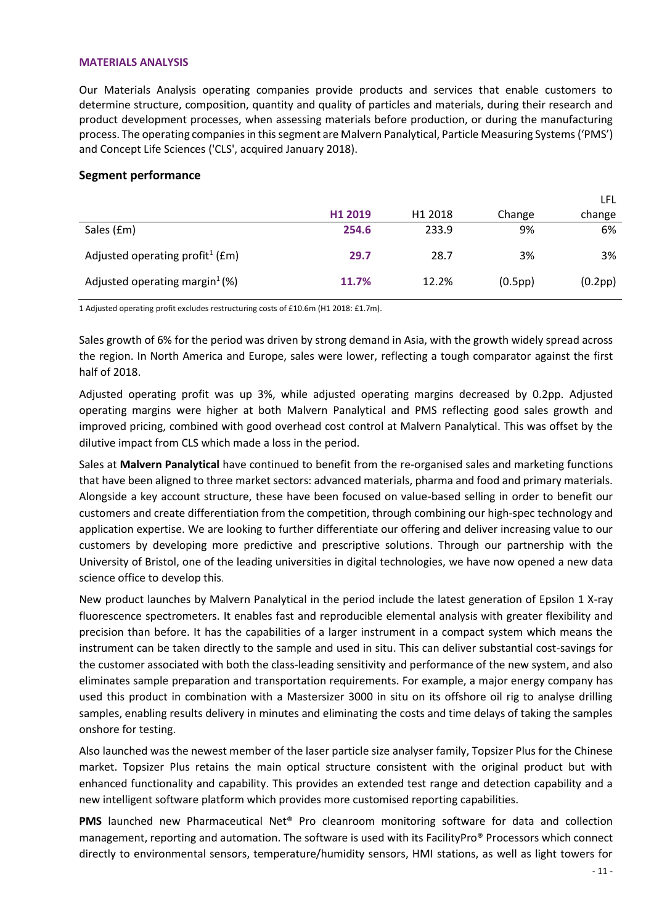#### **MATERIALS ANALYSIS**

Our Materials Analysis operating companies provide products and services that enable customers to determine structure, composition, quantity and quality of particles and materials, during their research and product development processes, when assessing materials before production, or during the manufacturing process. The operating companies in this segment are Malvern Panalytical, Particle Measuring Systems('PMS') and Concept Life Sciences ('CLS', acquired January 2018).

#### **Segment performance**

|                                                 |         |                     |         | LFL     |
|-------------------------------------------------|---------|---------------------|---------|---------|
|                                                 | H1 2019 | H <sub>1</sub> 2018 | Change  | change  |
| Sales (£m)                                      | 254.6   | 233.9               | 9%      | 6%      |
| Adjusted operating profit <sup>1</sup> ( $Em$ ) | 29.7    | 28.7                | 3%      | 3%      |
| Adjusted operating margin <sup>1</sup> $(\%)$   | 11.7%   | 12.2%               | (0.5pp) | (0.2pp) |

1 Adjusted operating profit excludes restructuring costs of £10.6m (H1 2018: £1.7m).

Sales growth of 6% for the period was driven by strong demand in Asia, with the growth widely spread across the region. In North America and Europe, sales were lower, reflecting a tough comparator against the first half of 2018.

Adjusted operating profit was up 3%, while adjusted operating margins decreased by 0.2pp. Adjusted operating margins were higher at both Malvern Panalytical and PMS reflecting good sales growth and improved pricing, combined with good overhead cost control at Malvern Panalytical. This was offset by the dilutive impact from CLS which made a loss in the period.

Sales at **Malvern Panalytical** have continued to benefit from the re-organised sales and marketing functions that have been aligned to three market sectors: advanced materials, pharma and food and primary materials. Alongside a key account structure, these have been focused on value-based selling in order to benefit our customers and create differentiation from the competition, through combining our high-spec technology and application expertise. We are looking to further differentiate our offering and deliver increasing value to our customers by developing more predictive and prescriptive solutions. Through our partnership with the University of Bristol, one of the leading universities in digital technologies, we have now opened a new data science office to develop this.

New product launches by Malvern Panalytical in the period include the latest generation of Epsilon 1 X-ray fluorescence spectrometers. It enables fast and reproducible elemental analysis with greater flexibility and precision than before. It has the capabilities of a larger instrument in a compact system which means the instrument can be taken directly to the sample and used in situ. This can deliver substantial cost-savings for the customer associated with both the class-leading sensitivity and performance of the new system, and also eliminates sample preparation and transportation requirements. For example, a major energy company has used this product in combination with a Mastersizer 3000 in situ on its offshore oil rig to analyse drilling samples, enabling results delivery in minutes and eliminating the costs and time delays of taking the samples onshore for testing.

Also launched was the newest member of the laser particle size analyser family, Topsizer Plus for the Chinese market. Topsizer Plus retains the main optical structure consistent with the original product but with enhanced functionality and capability. This provides an extended test range and detection capability and a new intelligent software platform which provides more customised reporting capabilities.

**PMS** launched new [Pharmaceutical Net® Pro](https://www.pmeasuring.com/wp-content/uploads/2019/05/Pharmaceutical-Net-Pro.pdf) cleanroom monitoring software for data and collection management, reporting and automation. The software is used with its FacilityPro® Processors which connect directly to environmental sensors, temperature/humidity sensors, HMI stations, as well as light towers for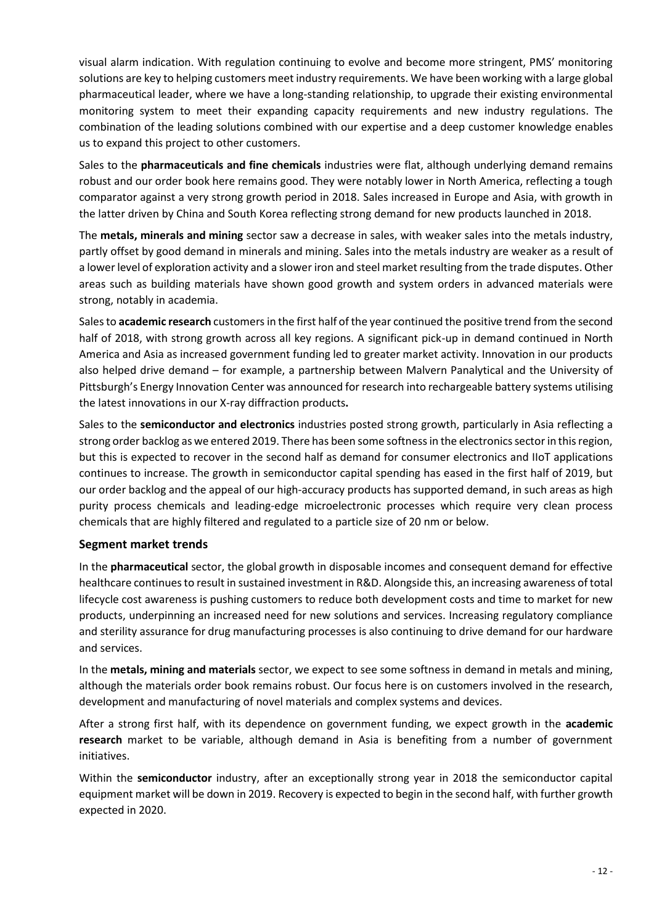visual alarm indication. With regulation continuing to evolve and become more stringent, PMS' monitoring solutions are key to helping customers meet industry requirements. We have been working with a large global pharmaceutical leader, where we have a long-standing relationship, to upgrade their existing environmental monitoring system to meet their expanding capacity requirements and new industry regulations. The combination of the leading solutions combined with our expertise and a deep customer knowledge enables us to expand this project to other customers.

Sales to the **pharmaceuticals and fine chemicals** industries were flat, although underlying demand remains robust and our order book here remains good. They were notably lower in North America, reflecting a tough comparator against a very strong growth period in 2018. Sales increased in Europe and Asia, with growth in the latter driven by China and South Korea reflecting strong demand for new products launched in 2018.

The **metals, minerals and mining** sector saw a decrease in sales, with weaker sales into the metals industry, partly offset by good demand in minerals and mining. Sales into the metals industry are weaker as a result of a lower level of exploration activity and a slower iron and steel market resulting from the trade disputes. Other areas such as building materials have shown good growth and system orders in advanced materials were strong, notably in academia.

Sales to **academic research** customers in the first half of the year continued the positive trend from the second half of 2018, with strong growth across all key regions. A significant pick-up in demand continued in North America and Asia as increased government funding led to greater market activity. Innovation in our products also helped drive demand – for example, a partnership between Malvern Panalytical and the [University of](http://www.eicpittsburgh.org/)  [Pittsburgh's Energy Innovation Center](http://www.eicpittsburgh.org/) was announced for research into rechargeable battery systems utilising the latest innovations in our X-ray diffraction products**.** 

Sales to the **semiconductor and electronics** industries posted strong growth, particularly in Asia reflecting a strong order backlog as we entered 2019. There has been some softness in the electronics sector in this region, but this is expected to recover in the second half as demand for consumer electronics and IIoT applications continues to increase. The growth in semiconductor capital spending has eased in the first half of 2019, but our order backlog and the appeal of our high-accuracy products has supported demand, in such areas as high purity process chemicals and leading-edge microelectronic processes which require very clean process chemicals that are highly filtered and regulated to a particle size of 20 nm or below.

#### **Segment market trends**

In the **pharmaceutical** sector, the global growth in disposable incomes and consequent demand for effective healthcare continues to result in sustained investment in R&D. Alongside this, an increasing awareness of total lifecycle cost awareness is pushing customers to reduce both development costs and time to market for new products, underpinning an increased need for new solutions and services. Increasing regulatory compliance and sterility assurance for drug manufacturing processes is also continuing to drive demand for our hardware and services.

In the **metals, mining and materials** sector, we expect to see some softness in demand in metals and mining, although the materials order book remains robust. Our focus here is on customers involved in the research, development and manufacturing of novel materials and complex systems and devices.

After a strong first half, with its dependence on government funding, we expect growth in the **academic research** market to be variable, although demand in Asia is benefiting from a number of government initiatives.

Within the **semiconductor** industry, after an exceptionally strong year in 2018 the semiconductor capital equipment market will be down in 2019. Recovery is expected to begin in the second half, with further growth expected in 2020.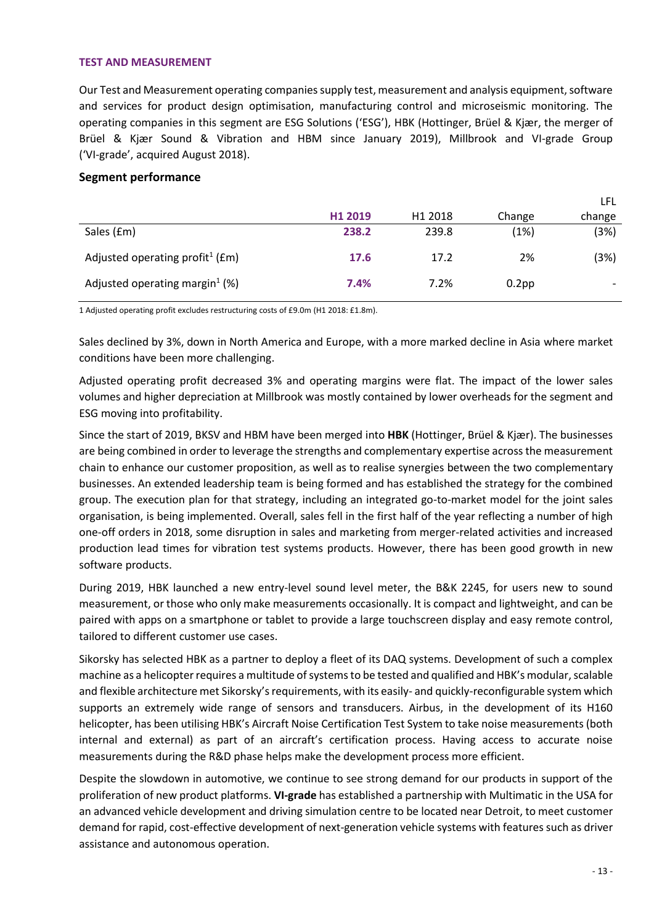#### **TEST AND MEASUREMENT**

Our Test and Measurement operating companies supply test, measurement and analysis equipment, software and services for product design optimisation, manufacturing control and microseismic monitoring. The operating companies in this segment are ESG Solutions ('ESG'), HBK (Hottinger, Brüel & Kjær, the merger of Brüel & Kjær Sound & Vibration and HBM since January 2019), Millbrook and VI-grade Group ('VI-grade', acquired August 2018).

#### **Segment performance**

|                                                 |         |                     |          | <b>LFL</b> |
|-------------------------------------------------|---------|---------------------|----------|------------|
|                                                 | H1 2019 | H <sub>1</sub> 2018 | Change   | change     |
| Sales (£m)                                      | 238.2   | 239.8               | (1%)     | (3%)       |
| Adjusted operating profit <sup>1</sup> ( $Em$ ) | 17.6    | 17.2                | 2%       | (3%)       |
| Adjusted operating margin <sup>1</sup> (%)      | 7.4%    | 7.2%                | $0.2$ pp |            |

1 Adjusted operating profit excludes restructuring costs of £9.0m (H1 2018: £1.8m).

Sales declined by 3%, down in North America and Europe, with a more marked decline in Asia where market conditions have been more challenging.

Adjusted operating profit decreased 3% and operating margins were flat. The impact of the lower sales volumes and higher depreciation at Millbrook was mostly contained by lower overheads for the segment and ESG moving into profitability.

Since the start of 2019, BKSV and HBM have been merged into **HBK** (Hottinger, Brüel & Kjær). The businesses are being combined in order to leverage the strengths and complementary expertise across the measurement chain to enhance our customer proposition, as well as to realise synergies between the two complementary businesses. An extended leadership team is being formed and has established the strategy for the combined group. The execution plan for that strategy, including an integrated go-to-market model for the joint sales organisation, is being implemented. Overall, sales fell in the first half of the year reflecting a number of high one-off orders in 2018, some disruption in sales and marketing from merger-related activities and increased production lead times for vibration test systems products. However, there has been good growth in new software products.

During 2019, HBK launched a new entry-level sound level meter, the B&K 2245, for users new to sound measurement, or those who only make measurements occasionally. It is compact and lightweight, and can be paired with apps on a smartphone or tablet to provide a large touchscreen display and easy remote control, tailored to different customer use cases.

Sikorsky has selected HBK as a partner to deploy a fleet of its DAQ systems. Development of such a complex machine as a helicopter requires a multitude of systems to be tested and qualified and HBK's modular, scalable and flexible architecture met Sikorsky's requirements, with its easily- and quickly-reconfigurable system which supports an extremely wide range of sensors and transducers. Airbus, in the development of its H160 helicopter, has been utilising HBK's Aircraft Noise Certification Test System to take noise measurements (both internal and external) as part of an aircraft's certification process. Having access to accurate noise measurements during the R&D phase helps make the development process more efficient.

Despite the slowdown in automotive, we continue to see strong demand for our products in support of the proliferation of new product platforms. **VI-grade** has established a partnership with Multimatic in the USA for an advanced vehicle development and driving simulation centre to be located near Detroit, to meet customer demand for rapid, cost-effective development of next-generation vehicle systems with features such as driver assistance and autonomous operation.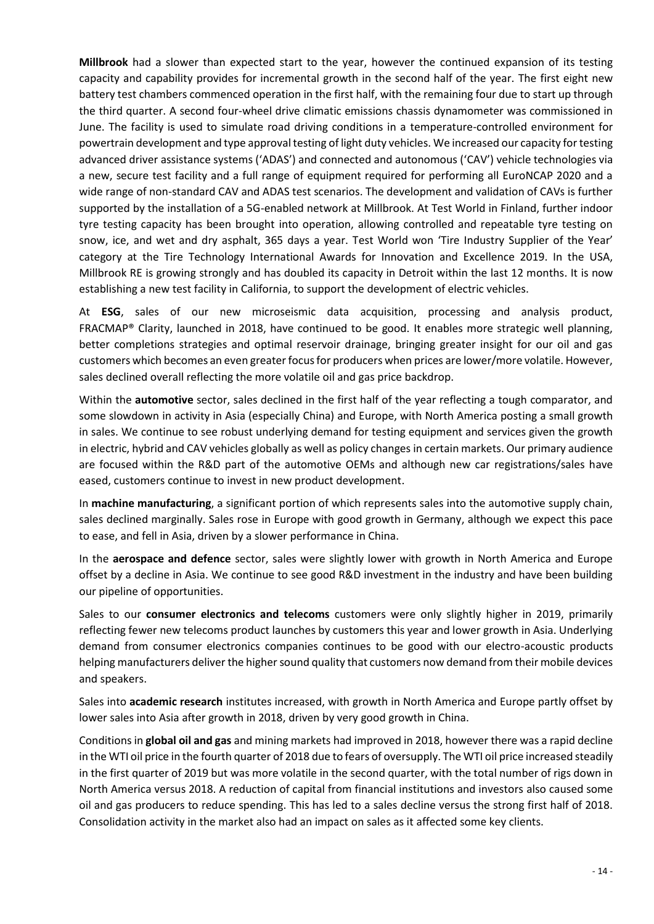**Millbrook** had a slower than expected start to the year, however the continued expansion of its testing capacity and capability provides for incremental growth in the second half of the year. The first eight new battery test chambers commenced operation in the first half, with the remaining four due to start up through the third quarter. A second [four-wheel drive climatic emissions chassis dynamometer](https://www.millbrook.co.uk/services/propulsion-systems-emissions-testing/4wd-climatic-emissions-chassis-dynamometer/) was commissioned in June. The facility is used to simulate road driving conditions in a temperature-controlled environment for powertrain development and type approval testing of light duty vehicles. We increased our capacity for testing advanced driver assistance systems ('ADAS') and connected and autonomous ('CAV') vehicle technologies via a new, secure test facility and a full range of equipment required for performing all EuroNCAP 2020 and a wide range of non-standard CAV and ADAS test scenarios. The development and validation of CAVs is further supported by the installation of a 5G-enabled network at Millbrook. At Test World in Finland, further indoor tyre testing capacity has been brought into operation, allowing controlled and repeatable tyre testing on snow, ice, and wet and dry asphalt, 365 days a year. Test World won 'Tire Industry Supplier of the Year' category at the Tire Technology International Awards for Innovation and Excellence 2019. In the USA, Millbrook RE is growing strongly and has doubled its capacity in Detroit within the last 12 months. It is now establishing a new test facility in California, to support the development of electric vehicles.

At **ESG**, sales of our new microseismic data acquisition, processing and analysis product, FRACMAP® Clarity, launched in 2018, have continued to be good. It enables more strategic well planning, better completions strategies and optimal reservoir drainage, bringing greater insight for our oil and gas customers which becomes an even greater focus for producers when prices are lower/more volatile. However, sales declined overall reflecting the more volatile oil and gas price backdrop.

Within the **automotive** sector, sales declined in the first half of the year reflecting a tough comparator, and some slowdown in activity in Asia (especially China) and Europe, with North America posting a small growth in sales. We continue to see robust underlying demand for testing equipment and services given the growth in electric, hybrid and CAV vehicles globally as well as policy changes in certain markets. Our primary audience are focused within the R&D part of the automotive OEMs and although new car registrations/sales have eased, customers continue to invest in new product development.

In **machine manufacturing**, a significant portion of which represents sales into the automotive supply chain, sales declined marginally. Sales rose in Europe with good growth in Germany, although we expect this pace to ease, and fell in Asia, driven by a slower performance in China.

In the **aerospace and defence** sector, sales were slightly lower with growth in North America and Europe offset by a decline in Asia. We continue to see good R&D investment in the industry and have been building our pipeline of opportunities.

Sales to our **consumer electronics and telecoms** customers were only slightly higher in 2019, primarily reflecting fewer new telecoms product launches by customers this year and lower growth in Asia. Underlying demand from consumer electronics companies continues to be good with our electro-acoustic products helping manufacturers deliver the higher sound quality that customers now demand from their mobile devices and speakers.

Sales into **academic research** institutes increased, with growth in North America and Europe partly offset by lower sales into Asia after growth in 2018, driven by very good growth in China.

Conditions in **global oil and gas** and mining markets had improved in 2018, however there was a rapid decline in the WTI oil price in the fourth quarter of 2018 due to fears of oversupply. The WTI oil price increased steadily in the first quarter of 2019 but was more volatile in the second quarter, with the total number of rigs down in North America versus 2018. A reduction of capital from financial institutions and investors also caused some oil and gas producers to reduce spending. This has led to a sales decline versus the strong first half of 2018. Consolidation activity in the market also had an impact on sales as it affected some key clients.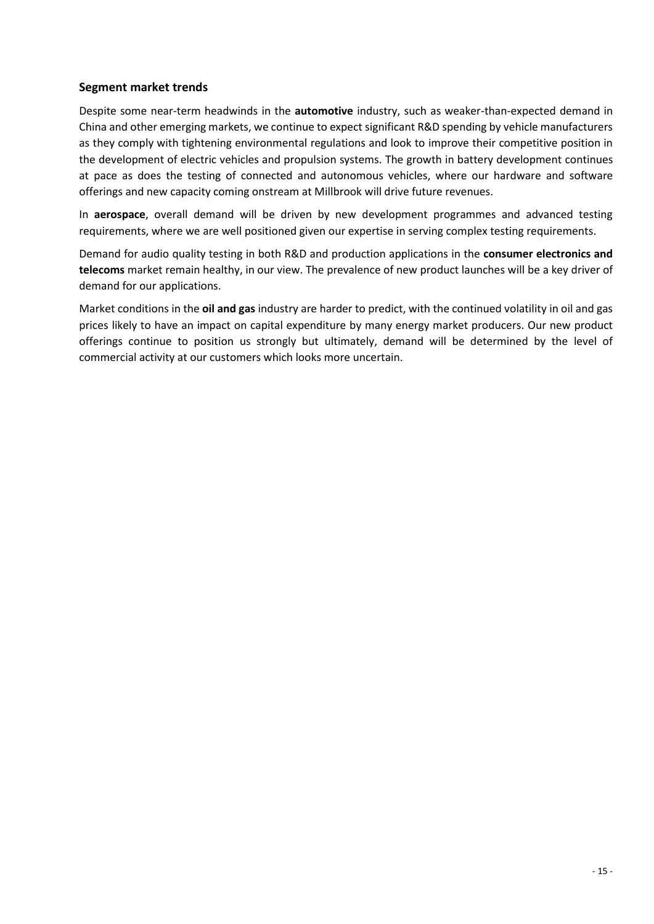# **Segment market trends**

Despite some near-term headwinds in the **automotive** industry, such as weaker-than-expected demand in China and other emerging markets, we continue to expect significant R&D spending by vehicle manufacturers as they comply with tightening environmental regulations and look to improve their competitive position in the development of electric vehicles and propulsion systems. The growth in battery development continues at pace as does the testing of connected and autonomous vehicles, where our hardware and software offerings and new capacity coming onstream at Millbrook will drive future revenues.

In **aerospace**, overall demand will be driven by new development programmes and advanced testing requirements, where we are well positioned given our expertise in serving complex testing requirements.

Demand for audio quality testing in both R&D and production applications in the **consumer electronics and telecoms** market remain healthy, in our view. The prevalence of new product launches will be a key driver of demand for our applications.

Market conditions in the **oil and gas** industry are harder to predict, with the continued volatility in oil and gas prices likely to have an impact on capital expenditure by many energy market producers. Our new product offerings continue to position us strongly but ultimately, demand will be determined by the level of commercial activity at our customers which looks more uncertain.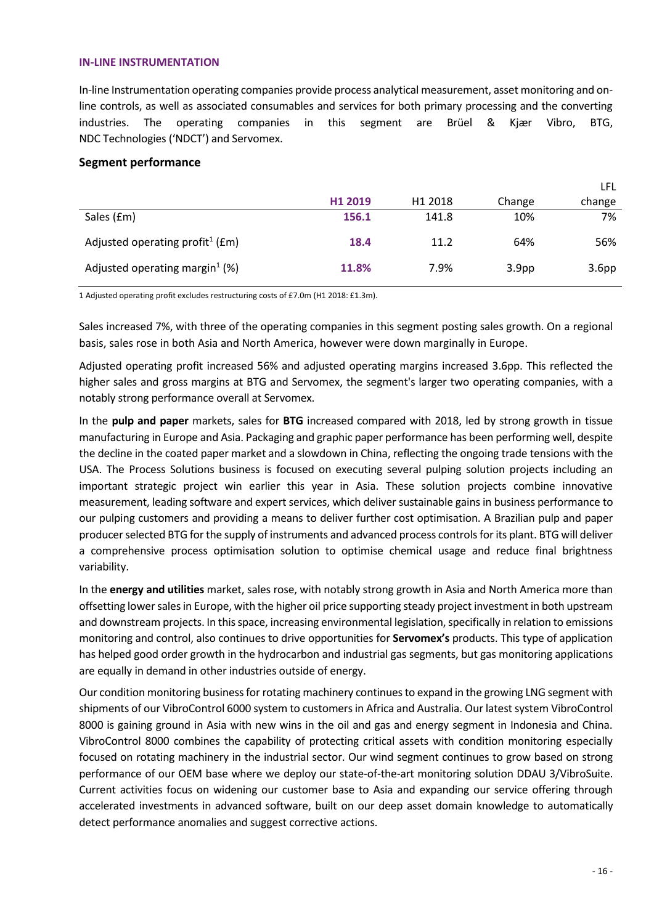#### **IN-LINE INSTRUMENTATION**

In-line Instrumentation operating companies provide process analytical measurement, asset monitoring and online controls, as well as associated consumables and services for both primary processing and the converting industries. The operating companies in this segment are Brüel & Kjær Vibro, BTG, NDC Technologies ('NDCT') and Servomex.

#### **Segment performance**

|                                                 |         |                     |                   | LFL               |
|-------------------------------------------------|---------|---------------------|-------------------|-------------------|
|                                                 | H1 2019 | H <sub>1</sub> 2018 | Change            | change            |
| Sales (£m)                                      | 156.1   | 141.8               | 10%               | 7%                |
| Adjusted operating profit <sup>1</sup> ( $Em$ ) | 18.4    | 11.2                | 64%               | 56%               |
| Adjusted operating margin <sup>1</sup> (%)      | 11.8%   | 7.9%                | 3.9 <sub>pp</sub> | 3.6 <sub>pp</sub> |

1 Adjusted operating profit excludes restructuring costs of £7.0m (H1 2018: £1.3m).

Sales increased 7%, with three of the operating companies in this segment posting sales growth. On a regional basis, sales rose in both Asia and North America, however were down marginally in Europe.

Adjusted operating profit increased 56% and adjusted operating margins increased 3.6pp. This reflected the higher sales and gross margins at BTG and Servomex, the segment's larger two operating companies, with a notably strong performance overall at Servomex.

In the **pulp and paper** markets, sales for **BTG** increased compared with 2018, led by strong growth in tissue manufacturing in Europe and Asia. Packaging and graphic paper performance has been performing well, despite the decline in the coated paper market and a slowdown in China, reflecting the ongoing trade tensions with the USA. The Process Solutions business is focused on executing several pulping solution projects including an important strategic project win earlier this year in Asia. These solution projects combine innovative measurement, leading software and expert services, which deliver sustainable gains in business performance to our pulping customers and providing a means to deliver further cost optimisation. A Brazilian pulp and paper producer selected BTG for the supply of instruments and advanced process controls for its plant. BTG will deliver a comprehensive process optimisation solution to optimise chemical usage and reduce final brightness variability.

In the **energy and utilities** market, sales rose, with notably strong growth in Asia and North America more than offsetting lower sales in Europe, with the higher oil price supporting steady project investment in both upstream and downstream projects. In this space, increasing environmental legislation, specifically in relation to emissions monitoring and control, also continues to drive opportunities for **Servomex's** products. This type of application has helped good order growth in the hydrocarbon and industrial gas segments, but gas monitoring applications are equally in demand in other industries outside of energy.

Our condition monitoring business for rotating machinery continues to expand in the growing LNG segment with shipments of our VibroControl 6000 system to customersin Africa and Australia. Our latest system VibroControl 8000 is gaining ground in Asia with new wins in the oil and gas and energy segment in Indonesia and China. VibroControl 8000 combines the capability of protecting critical assets with condition monitoring especially focused on rotating machinery in the industrial sector. Our wind segment continues to grow based on strong performance of our OEM base where we deploy our state-of-the-art monitoring solution DDAU 3/VibroSuite. Current activities focus on widening our customer base to Asia and expanding our service offering through accelerated investments in advanced software, built on our deep asset domain knowledge to automatically detect performance anomalies and suggest corrective actions.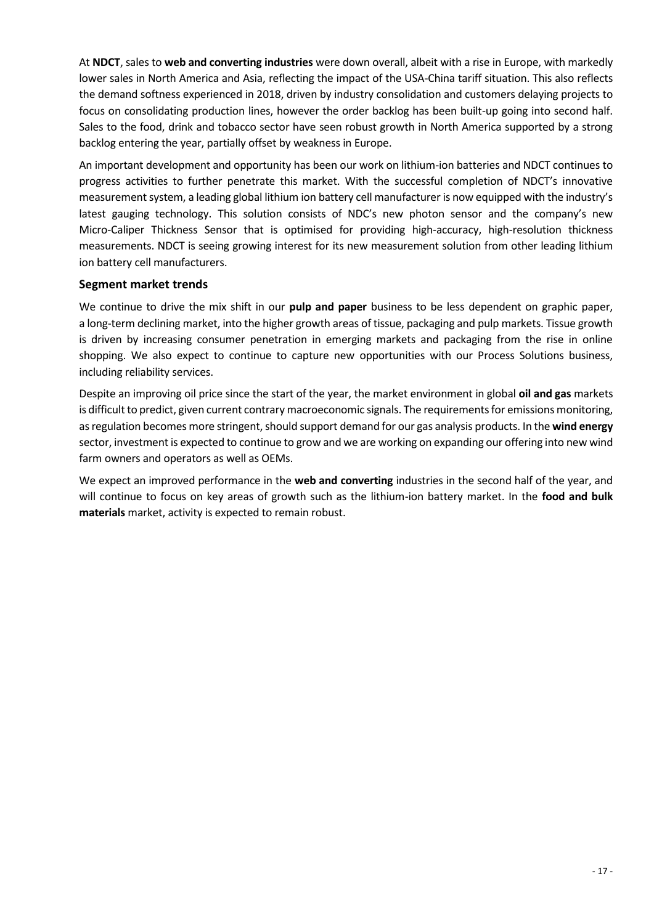At **NDCT**, sales to **web and converting industries** were down overall, albeit with a rise in Europe, with markedly lower sales in North America and Asia, reflecting the impact of the USA-China tariff situation. This also reflects the demand softness experienced in 2018, driven by industry consolidation and customers delaying projects to focus on consolidating production lines, however the order backlog has been built-up going into second half. Sales to the food, drink and tobacco sector have seen robust growth in North America supported by a strong backlog entering the year, partially offset by weakness in Europe.

An important development and opportunity has been our work on lithium-ion batteries and NDCT continues to progress activities to further penetrate this market. With the successful completion of NDCT's innovative measurement system, a leading global lithium ion battery cell manufacturer is now equipped with the industry's latest gauging technology. This solution consists of NDC's new photon sensor and the company's new Micro-Caliper Thickness Sensor that is optimised for providing high-accuracy, high-resolution thickness measurements. NDCT is seeing growing interest for its new measurement solution from other leading lithium ion battery cell manufacturers.

### **Segment market trends**

We continue to drive the mix shift in our **pulp and paper** business to be less dependent on graphic paper, a long-term declining market, into the higher growth areas of tissue, packaging and pulp markets. Tissue growth is driven by increasing consumer penetration in emerging markets and packaging from the rise in online shopping. We also expect to continue to capture new opportunities with our Process Solutions business, including reliability services.

Despite an improving oil price since the start of the year, the market environment in global **oil and gas** markets is difficult to predict, given current contrary macroeconomic signals. The requirements for emissions monitoring, as regulation becomes more stringent, should support demand for our gas analysis products. In the wind energy sector, investment is expected to continue to grow and we are working on expanding our offering into new wind farm owners and operators as well as OEMs.

We expect an improved performance in the **web and converting** industries in the second half of the year, and will continue to focus on key areas of growth such as the lithium-ion battery market. In the **food and bulk materials** market, activity is expected to remain robust.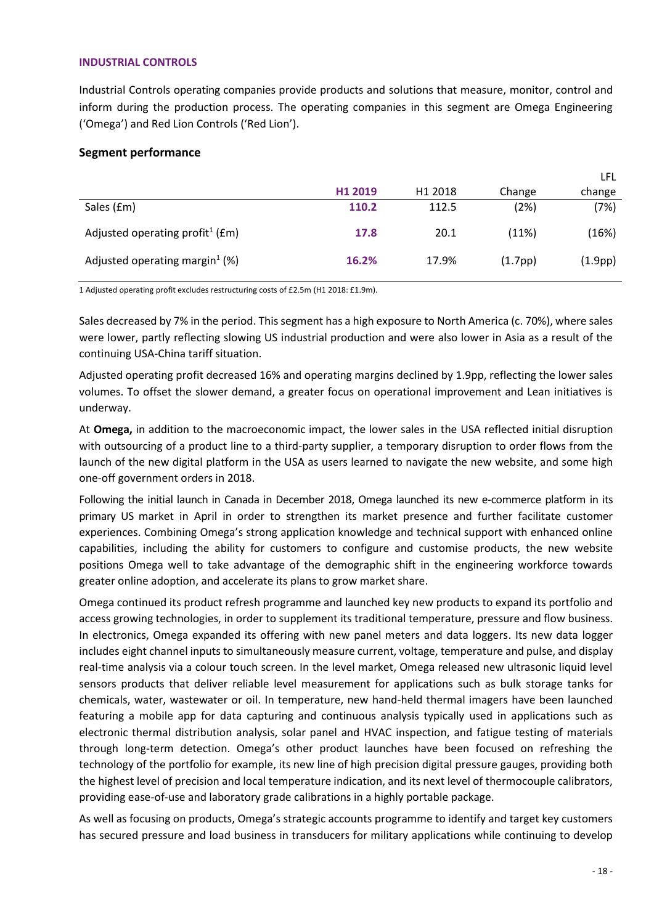#### **INDUSTRIAL CONTROLS**

Industrial Controls operating companies provide products and solutions that measure, monitor, control and inform during the production process. The operating companies in this segment are Omega Engineering ('Omega') and Red Lion Controls ('Red Lion').

## **Segment performance**

|                                                 |         |                     |               | LFL     |
|-------------------------------------------------|---------|---------------------|---------------|---------|
|                                                 | H1 2019 | H <sub>1</sub> 2018 | Change        | change  |
| Sales (£m)                                      | 110.2   | 112.5               | (2%)          | (7%)    |
| Adjusted operating profit <sup>1</sup> ( $Em$ ) | 17.8    | 20.1                | (11%)         | (16%)   |
| Adjusted operating margin <sup>1</sup> (%)      | 16.2%   | 17.9%               | $(1.7$ pp $)$ | (1.9pp) |

1 Adjusted operating profit excludes restructuring costs of £2.5m (H1 2018: £1.9m).

Sales decreased by 7% in the period. This segment has a high exposure to North America (c. 70%), where sales were lower, partly reflecting slowing US industrial production and were also lower in Asia as a result of the continuing USA-China tariff situation.

Adjusted operating profit decreased 16% and operating margins declined by 1.9pp, reflecting the lower sales volumes. To offset the slower demand, a greater focus on operational improvement and Lean initiatives is underway.

At **Omega,** in addition to the macroeconomic impact, the lower sales in the USA reflected initial disruption with outsourcing of a product line to a third-party supplier, a temporary disruption to order flows from the launch of the new digital platform in the USA as users learned to navigate the new website, and some high one-off government orders in 2018.

Following the initial launch in Canada in December 2018, Omega launched its new e-commerce platform in its primary US market in April in order to strengthen its market presence and further facilitate customer experiences. Combining Omega's strong application knowledge and technical support with enhanced online capabilities, including the ability for customers to configure and customise products, the new website positions Omega well to take advantage of the demographic shift in the engineering workforce towards greater online adoption, and accelerate its plans to grow market share.

Omega continued its product refresh programme and launched key new products to expand its portfolio and access growing technologies, in order to supplement its traditional temperature, pressure and flow business. In electronics, Omega expanded its offering with new panel meters and data loggers. Its new data logger includes eight channel inputs to simultaneously measure current, voltage, temperature and pulse, and display real-time analysis via a colour touch screen. In the level market, Omega released new ultrasonic liquid level sensors products that deliver reliable level measurement for applications such as bulk storage tanks for chemicals, water, wastewater or oil. In temperature, new hand-held thermal imagers have been launched featuring a mobile app for data capturing and continuous analysis typically used in applications such as electronic thermal distribution analysis, solar panel and HVAC inspection, and fatigue testing of materials through long-term detection. Omega's other product launches have been focused on refreshing the technology of the portfolio for example, its new line of high precision digital pressure gauges, providing both the highest level of precision and local temperature indication, and its next level of thermocouple calibrators, providing ease-of-use and laboratory grade calibrations in a highly portable package.

As well as focusing on products, Omega's strategic accounts programme to identify and target key customers has secured pressure and load business in transducers for military applications while continuing to develop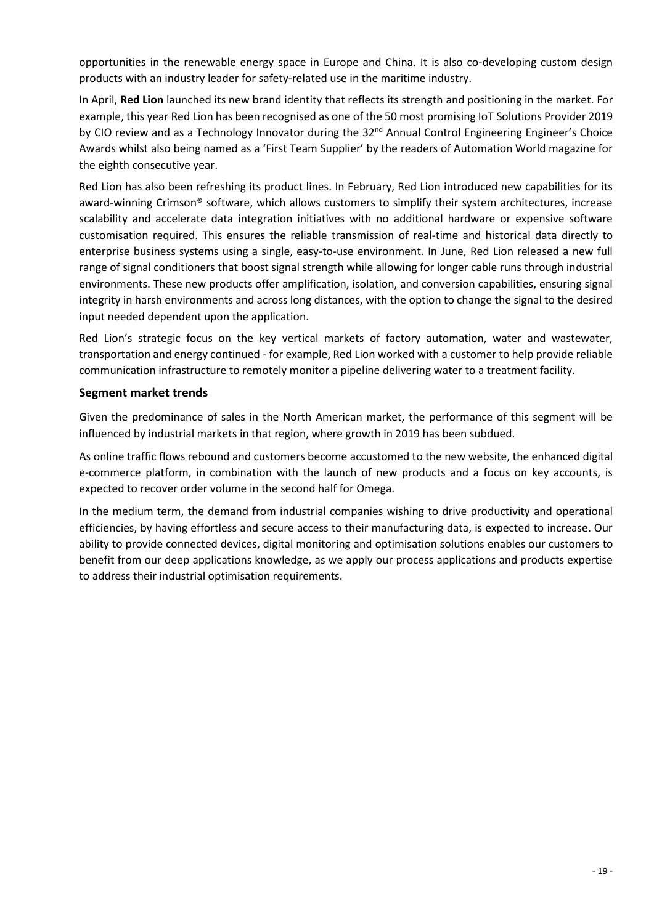opportunities in the renewable energy space in Europe and China. It is also co-developing custom design products with an industry leader for safety-related use in the maritime industry.

In April, **Red Lion** launched its new brand identity that reflects its strength and positioning in the market. For example, this year Red Lion has been recognised as one of the 50 most promising IoT Solutions Provider 2019 by CIO review and as a Technology Innovator during the 32<sup>nd</sup> Annual Control Engineering Engineer's Choice Awards whilst also being named as a 'First Team Supplier' by the readers of Automation World magazine for the eighth consecutive year.

Red Lion has also been refreshing its product lines. In February, Red Lion introduced new capabilities for its award-winning Crimson® software, which allows customers to simplify their system architectures, increase scalability and accelerate data integration initiatives with no additional hardware or expensive software customisation required. This ensures the reliable transmission of real-time and historical data directly to enterprise business systems using a single, easy-to-use environment. In June, Red Lion released a new full range of signal conditioners that boost signal strength while allowing for longer cable runs through industrial environments. These new products offer amplification, isolation, and conversion capabilities, ensuring signal integrity in harsh environments and across long distances, with the option to change the signal to the desired input needed dependent upon the application.

Red Lion's strategic focus on the key vertical markets of factory automation, water and wastewater, transportation and energy continued - for example, Red Lion worked with a customer to help provide reliable communication infrastructure to remotely monitor a pipeline delivering water to a treatment facility.

## **Segment market trends**

Given the predominance of sales in the North American market, the performance of this segment will be influenced by industrial markets in that region, where growth in 2019 has been subdued.

As online traffic flows rebound and customers become accustomed to the new website, the enhanced digital e-commerce platform, in combination with the launch of new products and a focus on key accounts, is expected to recover order volume in the second half for Omega.

In the medium term, the demand from industrial companies wishing to drive productivity and operational efficiencies, by having effortless and secure access to their manufacturing data, is expected to increase. Our ability to provide connected devices, digital monitoring and optimisation solutions enables our customers to benefit from our deep applications knowledge, as we apply our process applications and products expertise to address their industrial optimisation requirements.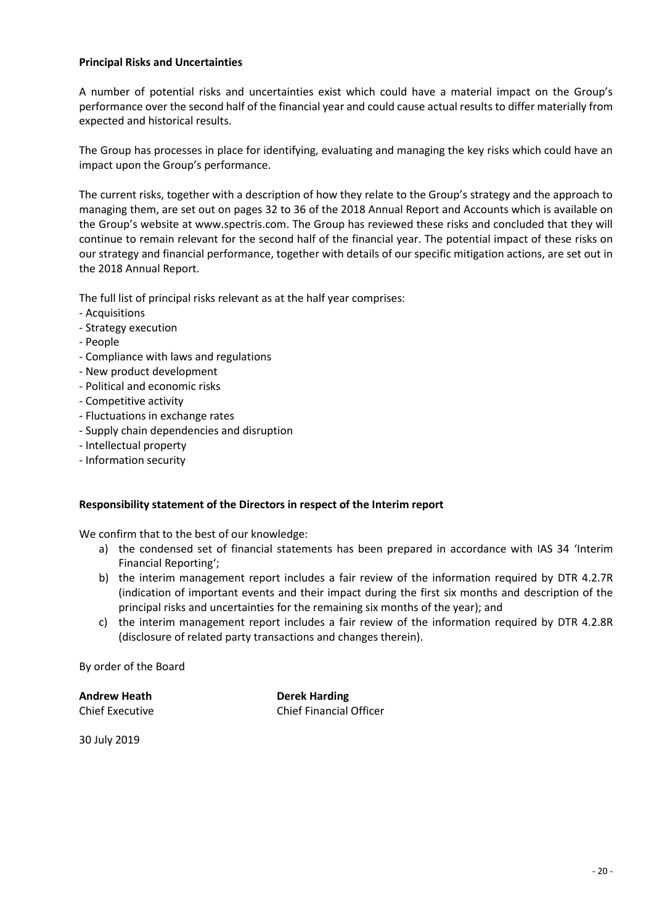#### **Principal Risks and Uncertainties**

A number of potential risks and uncertainties exist which could have a material impact on the Group's performance over the second half of the financial year and could cause actual results to differ materially from expected and historical results.

The Group has processes in place for identifying, evaluating and managing the key risks which could have an impact upon the Group's performance.

The current risks, together with a description of how they relate to the Group's strategy and the approach to managing them, are set out on pages 32 to 36 of the 2018 Annual Report and Accounts which is available on the Group's website at www.spectris.com. The Group has reviewed these risks and concluded that they will continue to remain relevant for the second half of the financial year. The potential impact of these risks on our strategy and financial performance, together with details of our specific mitigation actions, are set out in the 2018 Annual Report.

The full list of principal risks relevant as at the half year comprises:

- Acquisitions
- Strategy execution
- People
- Compliance with laws and regulations
- New product development
- Political and economic risks
- Competitive activity
- Fluctuations in exchange rates
- Supply chain dependencies and disruption
- Intellectual property
- Information security

#### **Responsibility statement of the Directors in respect of the Interim report**

We confirm that to the best of our knowledge:

- a) the condensed set of financial statements has been prepared in accordance with IAS 34 'Interim Financial Reporting';
- b) the interim management report includes a fair review of the information required by DTR 4.2.7R (indication of important events and their impact during the first six months and description of the principal risks and uncertainties for the remaining six months of the year); and
- c) the interim management report includes a fair review of the information required by DTR 4.2.8R (disclosure of related party transactions and changes therein).

By order of the Board

**Andrew Heath Derek Harding**

Chief Executive Chief Financial Officer

30 July 2019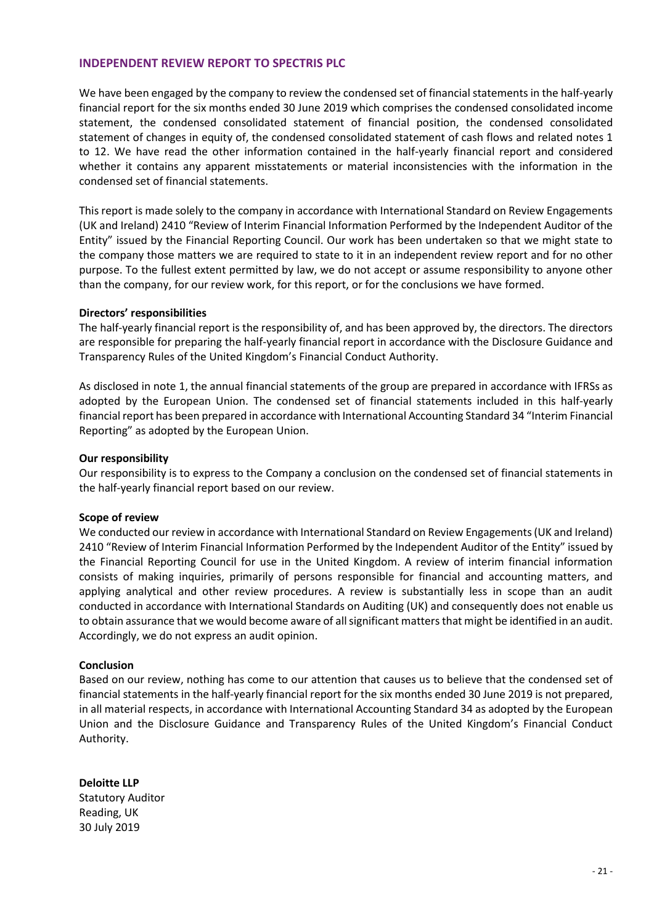#### **INDEPENDENT REVIEW REPORT TO SPECTRIS PLC**

We have been engaged by the company to review the condensed set of financial statements in the half-yearly financial report for the six months ended 30 June 2019 which comprises the condensed consolidated income statement, the condensed consolidated statement of financial position, the condensed consolidated statement of changes in equity of, the condensed consolidated statement of cash flows and related notes 1 to 12. We have read the other information contained in the half-yearly financial report and considered whether it contains any apparent misstatements or material inconsistencies with the information in the condensed set of financial statements.

This report is made solely to the company in accordance with International Standard on Review Engagements (UK and Ireland) 2410 "Review of Interim Financial Information Performed by the Independent Auditor of the Entity" issued by the Financial Reporting Council. Our work has been undertaken so that we might state to the company those matters we are required to state to it in an independent review report and for no other purpose. To the fullest extent permitted by law, we do not accept or assume responsibility to anyone other than the company, for our review work, for this report, or for the conclusions we have formed.

#### **Directors' responsibilities**

The half-yearly financial report is the responsibility of, and has been approved by, the directors. The directors are responsible for preparing the half-yearly financial report in accordance with the Disclosure Guidance and Transparency Rules of the United Kingdom's Financial Conduct Authority.

As disclosed in note 1, the annual financial statements of the group are prepared in accordance with IFRSs as adopted by the European Union. The condensed set of financial statements included in this half-yearly financial report has been prepared in accordance with International Accounting Standard 34 "Interim Financial Reporting" as adopted by the European Union.

#### **Our responsibility**

Our responsibility is to express to the Company a conclusion on the condensed set of financial statements in the half-yearly financial report based on our review.

#### **Scope of review**

We conducted our review in accordance with International Standard on Review Engagements (UK and Ireland) 2410 "Review of Interim Financial Information Performed by the Independent Auditor of the Entity" issued by the Financial Reporting Council for use in the United Kingdom. A review of interim financial information consists of making inquiries, primarily of persons responsible for financial and accounting matters, and applying analytical and other review procedures. A review is substantially less in scope than an audit conducted in accordance with International Standards on Auditing (UK) and consequently does not enable us to obtain assurance that we would become aware of all significant matters that might be identified in an audit. Accordingly, we do not express an audit opinion.

#### **Conclusion**

Based on our review, nothing has come to our attention that causes us to believe that the condensed set of financial statements in the half-yearly financial report for the six months ended 30 June 2019 is not prepared, in all material respects, in accordance with International Accounting Standard 34 as adopted by the European Union and the Disclosure Guidance and Transparency Rules of the United Kingdom's Financial Conduct Authority.

**Deloitte LLP** Statutory Auditor Reading, UK 30 July 2019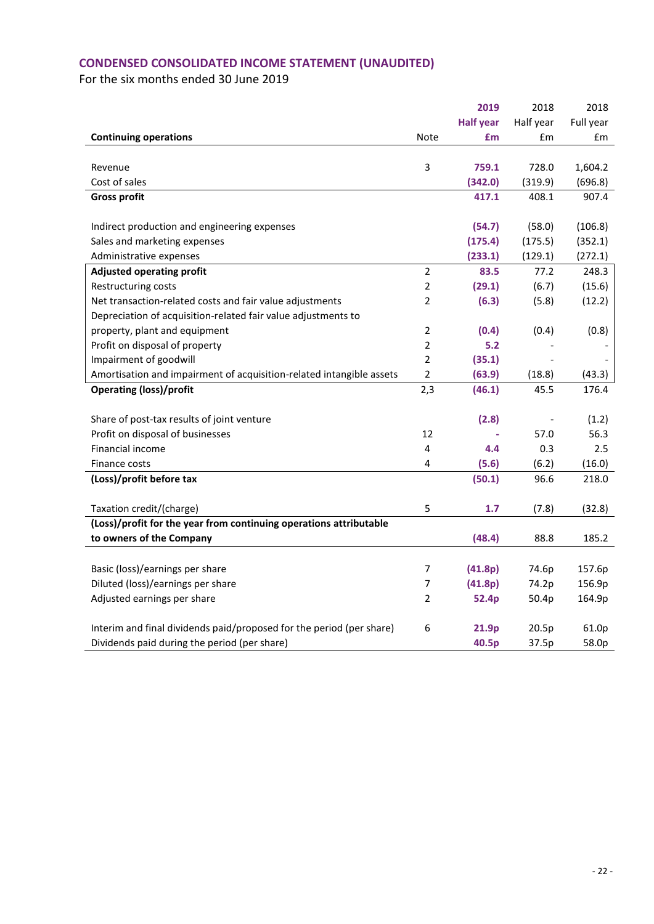# **CONDENSED CONSOLIDATED INCOME STATEMENT (UNAUDITED)**

|                                                                      |                | 2019             | 2018      | 2018      |
|----------------------------------------------------------------------|----------------|------------------|-----------|-----------|
|                                                                      |                | <b>Half year</b> | Half year | Full year |
| <b>Continuing operations</b>                                         | <b>Note</b>    | £m               | £m        | £m        |
|                                                                      |                |                  |           |           |
| Revenue                                                              | 3              | 759.1            | 728.0     | 1,604.2   |
| Cost of sales                                                        |                | (342.0)          | (319.9)   | (696.8)   |
| <b>Gross profit</b>                                                  |                | 417.1            | 408.1     | 907.4     |
|                                                                      |                |                  |           |           |
| Indirect production and engineering expenses                         |                | (54.7)           | (58.0)    | (106.8)   |
| Sales and marketing expenses                                         |                | (175.4)          | (175.5)   | (352.1)   |
| Administrative expenses                                              |                | (233.1)          | (129.1)   | (272.1)   |
| <b>Adjusted operating profit</b>                                     | 2              | 83.5             | 77.2      | 248.3     |
| Restructuring costs                                                  | $\overline{2}$ | (29.1)           | (6.7)     | (15.6)    |
| Net transaction-related costs and fair value adjustments             | 2              | (6.3)            | (5.8)     | (12.2)    |
| Depreciation of acquisition-related fair value adjustments to        |                |                  |           |           |
| property, plant and equipment                                        | $\overline{2}$ | (0.4)            | (0.4)     | (0.8)     |
| Profit on disposal of property                                       | $\overline{2}$ | 5.2              |           |           |
| Impairment of goodwill                                               | $\overline{2}$ | (35.1)           |           |           |
| Amortisation and impairment of acquisition-related intangible assets | $\overline{2}$ | (63.9)           | (18.8)    | (43.3)    |
| <b>Operating (loss)/profit</b>                                       | 2,3            | (46.1)           | 45.5      | 176.4     |
|                                                                      |                |                  |           |           |
| Share of post-tax results of joint venture                           |                | (2.8)            |           | (1.2)     |
| Profit on disposal of businesses                                     | 12             |                  | 57.0      | 56.3      |
| <b>Financial income</b>                                              | 4              | 4.4              | 0.3       | 2.5       |
| Finance costs                                                        | 4              | (5.6)            | (6.2)     | (16.0)    |
| (Loss)/profit before tax                                             |                | (50.1)           | 96.6      | 218.0     |
|                                                                      |                |                  |           |           |
| Taxation credit/(charge)                                             | 5              | 1.7              | (7.8)     | (32.8)    |
| (Loss)/profit for the year from continuing operations attributable   |                |                  |           |           |
| to owners of the Company                                             |                | (48.4)           | 88.8      | 185.2     |
|                                                                      |                |                  |           |           |
| Basic (loss)/earnings per share                                      | $\overline{7}$ | (41.8p)          | 74.6p     | 157.6p    |
| Diluted (loss)/earnings per share                                    | 7              | (41.8p)          | 74.2p     | 156.9p    |
| Adjusted earnings per share                                          | $\overline{2}$ | 52.4p            | 50.4p     | 164.9p    |
|                                                                      |                |                  |           |           |
| Interim and final dividends paid/proposed for the period (per share) | 6              | 21.9p            | 20.5p     | 61.0p     |
| Dividends paid during the period (per share)                         |                | 40.5p            | 37.5p     | 58.0p     |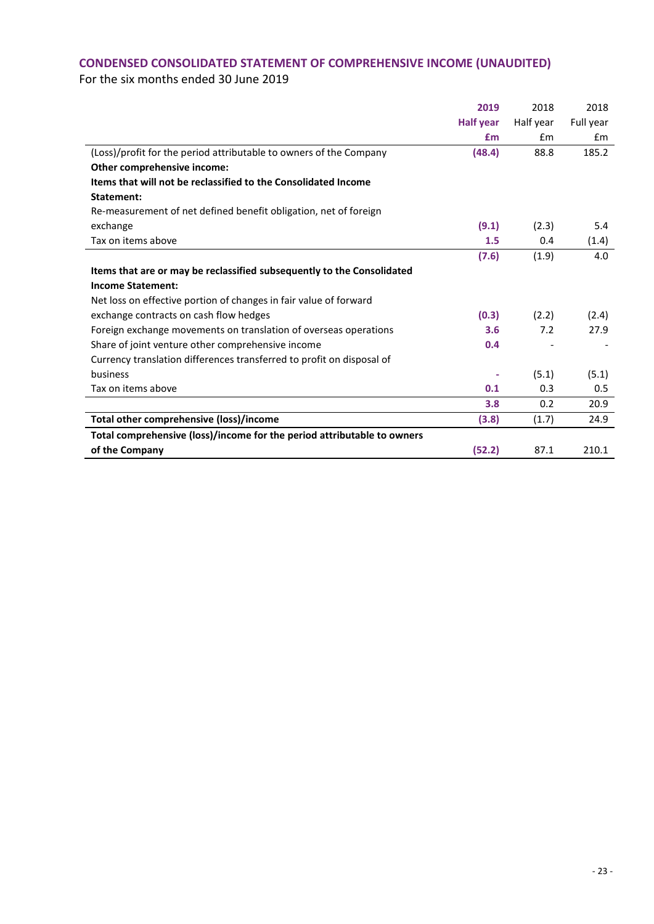# **CONDENSED CONSOLIDATED STATEMENT OF COMPREHENSIVE INCOME (UNAUDITED)**

|                                                                         | 2019             | 2018      | 2018      |
|-------------------------------------------------------------------------|------------------|-----------|-----------|
|                                                                         | <b>Half year</b> | Half year | Full year |
|                                                                         | £m               | Em        | £m        |
| (Loss)/profit for the period attributable to owners of the Company      | (48.4)           | 88.8      | 185.2     |
| Other comprehensive income:                                             |                  |           |           |
| Items that will not be reclassified to the Consolidated Income          |                  |           |           |
| Statement:                                                              |                  |           |           |
| Re-measurement of net defined benefit obligation, net of foreign        |                  |           |           |
| exchange                                                                | (9.1)            | (2.3)     | 5.4       |
| Tax on items above                                                      | 1.5              | 0.4       | (1.4)     |
|                                                                         | (7.6)            | (1.9)     | 4.0       |
| Items that are or may be reclassified subsequently to the Consolidated  |                  |           |           |
| <b>Income Statement:</b>                                                |                  |           |           |
| Net loss on effective portion of changes in fair value of forward       |                  |           |           |
| exchange contracts on cash flow hedges                                  | (0.3)            | (2.2)     | (2.4)     |
| Foreign exchange movements on translation of overseas operations        | 3.6              | 7.2       | 27.9      |
| Share of joint venture other comprehensive income                       | 0.4              |           |           |
| Currency translation differences transferred to profit on disposal of   |                  |           |           |
| business                                                                | ٠                | (5.1)     | (5.1)     |
| Tax on items above                                                      | 0.1              | 0.3       | 0.5       |
|                                                                         | 3.8              | 0.2       | 20.9      |
| Total other comprehensive (loss)/income                                 | (3.8)            | (1.7)     | 24.9      |
| Total comprehensive (loss)/income for the period attributable to owners |                  |           |           |
| of the Company                                                          | (52.2)           | 87.1      | 210.1     |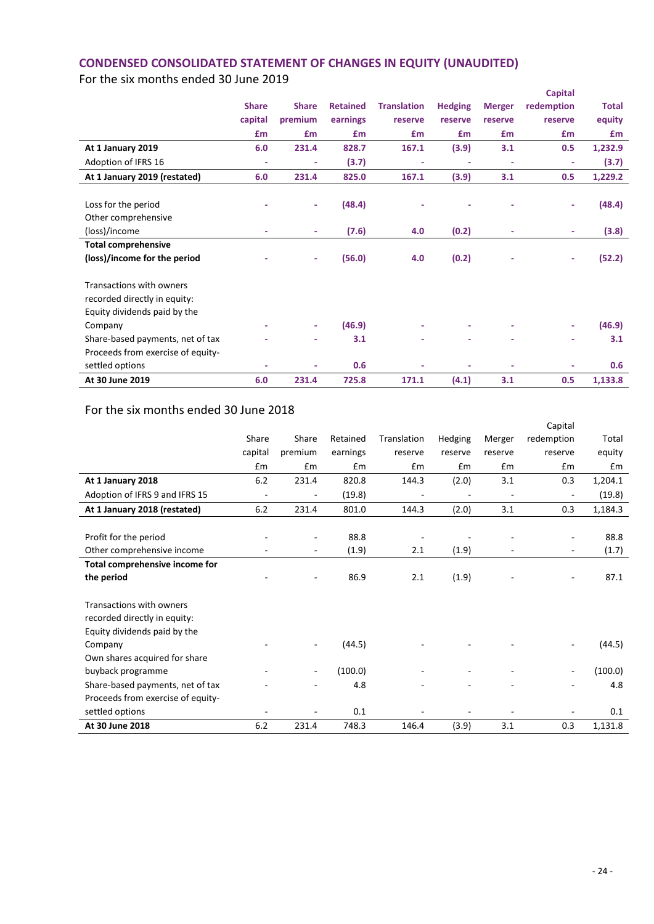# **CONDENSED CONSOLIDATED STATEMENT OF CHANGES IN EQUITY (UNAUDITED)**

For the six months ended 30 June 2019

|                                   |              |              |                 |                    |                |               | <b>Capital</b> |              |
|-----------------------------------|--------------|--------------|-----------------|--------------------|----------------|---------------|----------------|--------------|
|                                   | <b>Share</b> | <b>Share</b> | <b>Retained</b> | <b>Translation</b> | <b>Hedging</b> | <b>Merger</b> | redemption     | <b>Total</b> |
|                                   | capital      | premium      | earnings        | reserve            | reserve        | reserve       | reserve        | equity       |
|                                   | £m           | £m           | £m              | £m                 | £m             | £m            | £m             | £m           |
| At 1 January 2019                 | 6.0          | 231.4        | 828.7           | 167.1              | (3.9)          | 3.1           | 0.5            | 1,232.9      |
| Adoption of IFRS 16               | ÷            | ٠            | (3.7)           |                    |                | ٠             | ٠              | (3.7)        |
| At 1 January 2019 (restated)      | 6.0          | 231.4        | 825.0           | 167.1              | (3.9)          | 3.1           | 0.5            | 1,229.2      |
|                                   |              |              |                 |                    |                |               |                |              |
| Loss for the period               |              | ٠            | (48.4)          |                    |                |               |                | (48.4)       |
| Other comprehensive               |              |              |                 |                    |                |               |                |              |
| (loss)/income                     |              | ٠            | (7.6)           | 4.0                | (0.2)          |               | ٠              | (3.8)        |
| <b>Total comprehensive</b>        |              |              |                 |                    |                |               |                |              |
| (loss)/income for the period      |              | ٠            | (56.0)          | 4.0                | (0.2)          |               | ٠              | (52.2)       |
| Transactions with owners          |              |              |                 |                    |                |               |                |              |
| recorded directly in equity:      |              |              |                 |                    |                |               |                |              |
| Equity dividends paid by the      |              |              |                 |                    |                |               |                |              |
| Company                           |              | ٠            | (46.9)          |                    |                |               |                | (46.9)       |
|                                   |              |              |                 |                    |                |               |                |              |
| Share-based payments, net of tax  |              |              | 3.1             |                    |                |               | ٠              | 3.1          |
| Proceeds from exercise of equity- |              |              |                 |                    |                |               |                |              |
| settled options                   |              |              | 0.6             |                    |                |               |                | 0.6          |
| At 30 June 2019                   | 6.0          | 231.4        | 725.8           | 171.1              | (4.1)          | 3.1           | 0.5            | 1,133.8      |

|                                   |                          |                          |          |                          |         |         | Capital                  |         |
|-----------------------------------|--------------------------|--------------------------|----------|--------------------------|---------|---------|--------------------------|---------|
|                                   | Share                    | Share                    | Retained | Translation              | Hedging | Merger  | redemption               | Total   |
|                                   | capital                  | premium                  | earnings | reserve                  | reserve | reserve | reserve                  | equity  |
|                                   | £m                       | £m                       | £m       | £m                       | £m      | £m      | £m                       | £m      |
| At 1 January 2018                 | 6.2                      | 231.4                    | 820.8    | 144.3                    | (2.0)   | 3.1     | 0.3                      | 1,204.1 |
| Adoption of IFRS 9 and IFRS 15    | $\overline{\phantom{a}}$ | ٠                        | (19.8)   | $\overline{\phantom{a}}$ | ٠       |         |                          | (19.8)  |
| At 1 January 2018 (restated)      | 6.2                      | 231.4                    | 801.0    | 144.3                    | (2.0)   | 3.1     | 0.3                      | 1,184.3 |
|                                   |                          |                          |          |                          |         |         |                          |         |
| Profit for the period             |                          |                          | 88.8     |                          |         |         |                          | 88.8    |
| Other comprehensive income        | -                        | $\overline{\phantom{a}}$ | (1.9)    | 2.1                      | (1.9)   |         | $\overline{\phantom{m}}$ | (1.7)   |
| Total comprehensive income for    |                          |                          |          |                          |         |         |                          |         |
| the period                        |                          |                          | 86.9     | 2.1                      | (1.9)   |         |                          | 87.1    |
| Transactions with owners          |                          |                          |          |                          |         |         |                          |         |
| recorded directly in equity:      |                          |                          |          |                          |         |         |                          |         |
| Equity dividends paid by the      |                          |                          |          |                          |         |         |                          |         |
| Company                           |                          |                          | (44.5)   |                          |         |         |                          | (44.5)  |
| Own shares acquired for share     |                          |                          |          |                          |         |         |                          |         |
| buyback programme                 |                          |                          | (100.0)  |                          |         |         |                          | (100.0) |
| Share-based payments, net of tax  |                          |                          | 4.8      |                          |         |         |                          | 4.8     |
| Proceeds from exercise of equity- |                          |                          |          |                          |         |         |                          |         |
| settled options                   |                          |                          | 0.1      |                          |         |         |                          | 0.1     |
| At 30 June 2018                   | 6.2                      | 231.4                    | 748.3    | 146.4                    | (3.9)   | 3.1     | 0.3                      | 1,131.8 |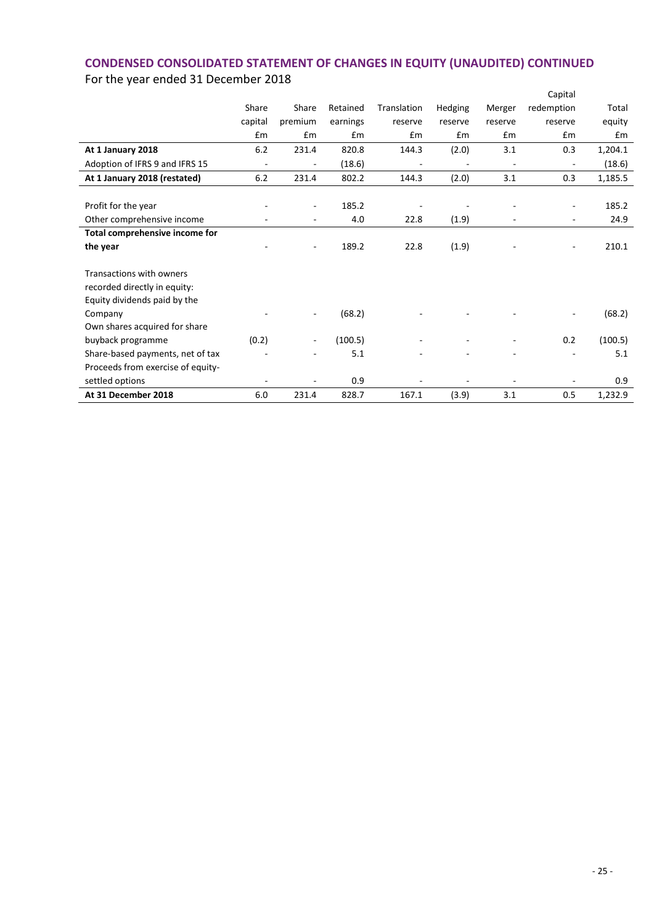# **CONDENSED CONSOLIDATED STATEMENT OF CHANGES IN EQUITY (UNAUDITED) CONTINUED** For the year ended 31 December 2018

|                                   |                          |                          |          |             |         |                          | Capital                  |         |
|-----------------------------------|--------------------------|--------------------------|----------|-------------|---------|--------------------------|--------------------------|---------|
|                                   | Share                    | Share                    | Retained | Translation | Hedging | Merger                   | redemption               | Total   |
|                                   | capital                  | premium                  | earnings | reserve     | reserve | reserve                  | reserve                  | equity  |
|                                   | £m                       | £m                       | Em       | £m          | Em      | Em                       | Em                       | Em      |
| At 1 January 2018                 | 6.2                      | 231.4                    | 820.8    | 144.3       | (2.0)   | 3.1                      | 0.3                      | 1,204.1 |
| Adoption of IFRS 9 and IFRS 15    | $\overline{\phantom{0}}$ | $\overline{\phantom{a}}$ | (18.6)   | -           |         | $\overline{\phantom{a}}$ | $\overline{\phantom{a}}$ | (18.6)  |
| At 1 January 2018 (restated)      | 6.2                      | 231.4                    | 802.2    | 144.3       | (2.0)   | 3.1                      | 0.3                      | 1,185.5 |
|                                   |                          |                          |          |             |         |                          |                          |         |
| Profit for the year               |                          | $\overline{\phantom{a}}$ | 185.2    |             |         |                          | $\overline{\phantom{a}}$ | 185.2   |
| Other comprehensive income        |                          |                          | 4.0      | 22.8        | (1.9)   |                          |                          | 24.9    |
| Total comprehensive income for    |                          |                          |          |             |         |                          |                          |         |
| the year                          |                          | $\sim$                   | 189.2    | 22.8        | (1.9)   |                          | $\overline{\phantom{a}}$ | 210.1   |
| Transactions with owners          |                          |                          |          |             |         |                          |                          |         |
| recorded directly in equity:      |                          |                          |          |             |         |                          |                          |         |
| Equity dividends paid by the      |                          |                          |          |             |         |                          |                          |         |
| Company                           |                          |                          | (68.2)   |             |         |                          | $\overline{a}$           | (68.2)  |
| Own shares acquired for share     |                          |                          |          |             |         |                          |                          |         |
| buyback programme                 | (0.2)                    |                          | (100.5)  |             |         |                          | 0.2                      | (100.5) |
|                                   |                          |                          |          |             |         |                          |                          |         |
| Share-based payments, net of tax  |                          |                          | 5.1      |             |         |                          |                          | 5.1     |
| Proceeds from exercise of equity- |                          |                          |          |             |         |                          |                          |         |
| settled options                   |                          |                          | 0.9      |             |         |                          |                          | 0.9     |
| At 31 December 2018               | 6.0                      | 231.4                    | 828.7    | 167.1       | (3.9)   | 3.1                      | 0.5                      | 1,232.9 |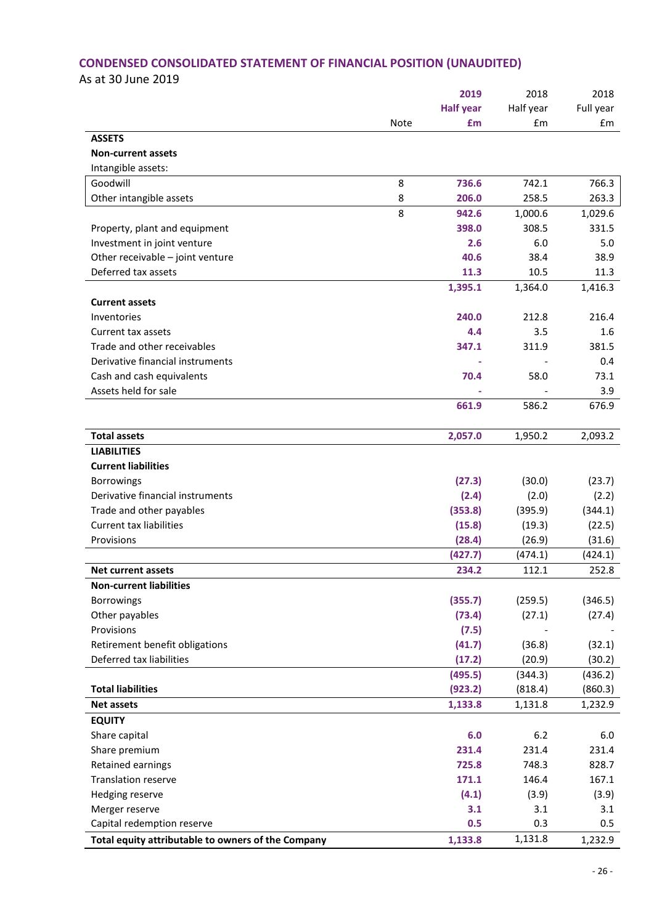# **CONDENSED CONSOLIDATED STATEMENT OF FINANCIAL POSITION (UNAUDITED)**

As at 30 June 2019

|                                                    |             | 2019             | 2018      | 2018      |
|----------------------------------------------------|-------------|------------------|-----------|-----------|
|                                                    |             | <b>Half year</b> | Half year | Full year |
|                                                    | <b>Note</b> | £m               | £m        | £m        |
| <b>ASSETS</b>                                      |             |                  |           |           |
| <b>Non-current assets</b>                          |             |                  |           |           |
| Intangible assets:                                 |             |                  |           |           |
| Goodwill                                           | 8           | 736.6            | 742.1     | 766.3     |
| Other intangible assets                            | 8           | 206.0            | 258.5     | 263.3     |
|                                                    | 8           | 942.6            | 1,000.6   | 1,029.6   |
| Property, plant and equipment                      |             | 398.0            | 308.5     | 331.5     |
| Investment in joint venture                        |             | 2.6              | 6.0       | 5.0       |
| Other receivable - joint venture                   |             | 40.6             | 38.4      | 38.9      |
| Deferred tax assets                                |             | 11.3             | 10.5      | 11.3      |
|                                                    |             | 1,395.1          | 1,364.0   | 1,416.3   |
| <b>Current assets</b>                              |             |                  |           |           |
| Inventories                                        |             | 240.0            | 212.8     | 216.4     |
| Current tax assets                                 |             | 4.4              | 3.5       | 1.6       |
| Trade and other receivables                        |             | 347.1            | 311.9     | 381.5     |
| Derivative financial instruments                   |             |                  |           | 0.4       |
| Cash and cash equivalents                          |             | 70.4             | 58.0      | 73.1      |
| Assets held for sale                               |             |                  |           | 3.9       |
|                                                    |             | 661.9            | 586.2     | 676.9     |
|                                                    |             |                  |           |           |
| <b>Total assets</b>                                |             | 2,057.0          | 1,950.2   | 2,093.2   |
| <b>LIABILITIES</b>                                 |             |                  |           |           |
| <b>Current liabilities</b>                         |             |                  |           |           |
| Borrowings                                         |             | (27.3)           | (30.0)    | (23.7)    |
| Derivative financial instruments                   |             | (2.4)            | (2.0)     | (2.2)     |
| Trade and other payables                           |             | (353.8)          | (395.9)   | (344.1)   |
| <b>Current tax liabilities</b>                     |             | (15.8)           | (19.3)    | (22.5)    |
| Provisions                                         |             | (28.4)           | (26.9)    | (31.6)    |
|                                                    |             | (427.7)          | (474.1)   | (424.1)   |
| <b>Net current assets</b>                          |             | 234.2            | 112.1     | 252.8     |
| <b>Non-current liabilities</b>                     |             |                  |           |           |
| Borrowings                                         |             | (355.7)          | (259.5)   | (346.5)   |
| Other payables                                     |             | (73.4)           | (27.1)    | (27.4)    |
| Provisions                                         |             | (7.5)            |           |           |
| Retirement benefit obligations                     |             | (41.7)           | (36.8)    | (32.1)    |
| Deferred tax liabilities                           |             | (17.2)           | (20.9)    | (30.2)    |
|                                                    |             | (495.5)          | (344.3)   | (436.2)   |
| <b>Total liabilities</b>                           |             | (923.2)          | (818.4)   | (860.3)   |
| <b>Net assets</b>                                  |             | 1,133.8          | 1,131.8   | 1,232.9   |
| <b>EQUITY</b>                                      |             |                  |           |           |
| Share capital                                      |             | 6.0              | 6.2       | 6.0       |
| Share premium                                      |             | 231.4            | 231.4     | 231.4     |
| Retained earnings                                  |             | 725.8            | 748.3     | 828.7     |
| <b>Translation reserve</b>                         |             | 171.1            | 146.4     | 167.1     |
| Hedging reserve                                    |             | (4.1)            | (3.9)     | (3.9)     |
| Merger reserve                                     |             | 3.1              | 3.1       | 3.1       |
| Capital redemption reserve                         |             | 0.5              | 0.3       | 0.5       |
| Total equity attributable to owners of the Company |             | 1,133.8          | 1,131.8   | 1,232.9   |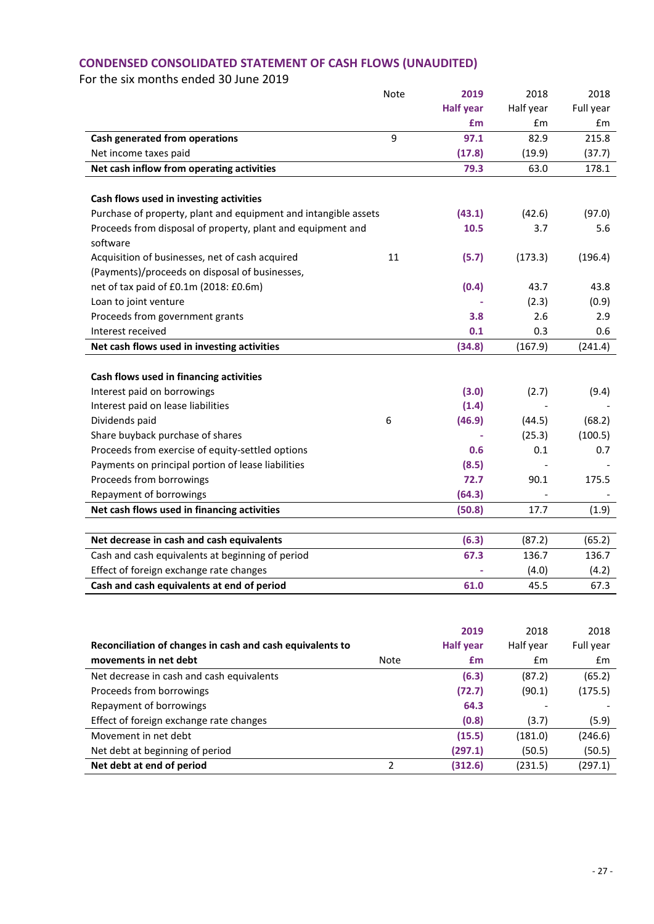# **CONDENSED CONSOLIDATED STATEMENT OF CASH FLOWS (UNAUDITED)**

|                                                                 | Note | 2019             | 2018      | 2018      |
|-----------------------------------------------------------------|------|------------------|-----------|-----------|
|                                                                 |      | <b>Half year</b> | Half year | Full year |
|                                                                 |      | £m               | £m        | £m        |
| Cash generated from operations                                  | 9    | 97.1             | 82.9      | 215.8     |
| Net income taxes paid                                           |      | (17.8)           | (19.9)    | (37.7)    |
| Net cash inflow from operating activities                       |      | 79.3             | 63.0      | 178.1     |
| Cash flows used in investing activities                         |      |                  |           |           |
| Purchase of property, plant and equipment and intangible assets |      | (43.1)           | (42.6)    | (97.0)    |
| Proceeds from disposal of property, plant and equipment and     |      | 10.5             | 3.7       | 5.6       |
| software                                                        |      |                  |           |           |
| Acquisition of businesses, net of cash acquired                 | 11   | (5.7)            | (173.3)   | (196.4)   |
| (Payments)/proceeds on disposal of businesses,                  |      |                  |           |           |
| net of tax paid of £0.1m (2018: £0.6m)                          |      | (0.4)            | 43.7      | 43.8      |
| Loan to joint venture                                           |      |                  | (2.3)     | (0.9)     |
| Proceeds from government grants                                 |      | 3.8              | 2.6       | 2.9       |
| Interest received                                               |      | 0.1              | 0.3       | 0.6       |
| Net cash flows used in investing activities                     |      |                  |           | (241.4)   |
|                                                                 |      | (34.8)           | (167.9)   |           |
| Cash flows used in financing activities                         |      |                  |           |           |
| Interest paid on borrowings                                     |      | (3.0)            | (2.7)     |           |
|                                                                 |      | (1.4)            |           | (9.4)     |
| Interest paid on lease liabilities                              |      |                  |           |           |
| Dividends paid                                                  | 6    | (46.9)           | (44.5)    | (68.2)    |
| Share buyback purchase of shares                                |      |                  | (25.3)    | (100.5)   |
| Proceeds from exercise of equity-settled options                |      | 0.6              | 0.1       | 0.7       |
| Payments on principal portion of lease liabilities              |      | (8.5)            |           |           |
| Proceeds from borrowings                                        |      | 72.7             | 90.1      | 175.5     |
| Repayment of borrowings                                         |      | (64.3)           |           |           |
| Net cash flows used in financing activities                     |      | (50.8)           | 17.7      | (1.9)     |
|                                                                 |      |                  |           |           |
| Net decrease in cash and cash equivalents                       |      | (6.3)            | (87.2)    | (65.2)    |
| Cash and cash equivalents at beginning of period                |      | 67.3             | 136.7     | 136.7     |
| Effect of foreign exchange rate changes                         |      |                  | (4.0)     | (4.2)     |
| Cash and cash equivalents at end of period                      |      | 61.0             | 45.5      | 67.3      |
|                                                                 |      |                  |           |           |
|                                                                 |      | 2019             | 2018      | 2018      |
| Reconciliation of changes in cash and cash equivalents to       |      | <b>Half year</b> | Half year | Full year |
| movements in net debt                                           | Note | £m               | £m        | £m        |
| Net decrease in cash and cash equivalents                       |      | (6.3)            |           | (65.2)    |
|                                                                 |      |                  | (87.2)    |           |

| Net debt at end of period                 | (312.6) | (231.5) | (297.1) |
|-------------------------------------------|---------|---------|---------|
| Net debt at beginning of period           | (297.1) | (50.5)  | (50.5)  |
| Movement in net debt                      | (15.5)  | (181.0) | (246.6) |
| Effect of foreign exchange rate changes   | (0.8)   | (3.7)   | (5.9)   |
| Repayment of borrowings                   | 64.3    |         |         |
| Proceeds from borrowings                  | (72.7)  | (90.1)  | (175.5) |
| Net decrease in cash and cash equivalents | (6.3)   | (87.2)  | (65.2)  |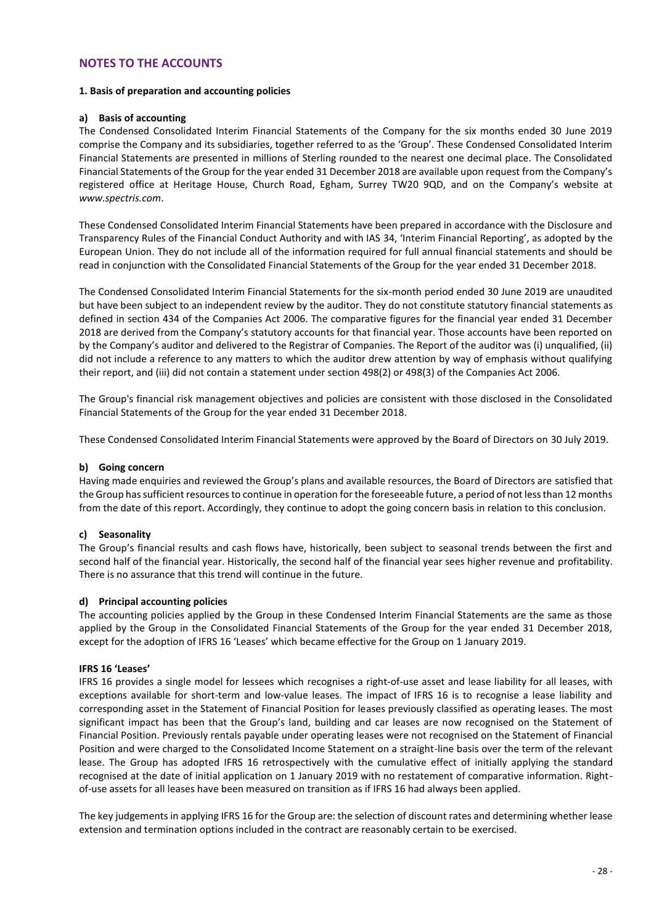#### **NOTES TO THE ACCOUNTS**

#### **1. Basis of preparation and accounting policies**

#### **a) Basis of accounting**

The Condensed Consolidated Interim Financial Statements of the Company for the six months ended 30 June 2019 comprise the Company and its subsidiaries, together referred to as the 'Group'. These Condensed Consolidated Interim Financial Statements are presented in millions of Sterling rounded to the nearest one decimal place. The Consolidated Financial Statements of the Group for the year ended 31 December 2018 are available upon request from the Company's registered office at Heritage House, Church Road, Egham, Surrey TW20 9QD, and on the Company's website at *www.spectris.com*.

These Condensed Consolidated Interim Financial Statements have been prepared in accordance with the Disclosure and Transparency Rules of the Financial Conduct Authority and with IAS 34, 'Interim Financial Reporting', as adopted by the European Union. They do not include all of the information required for full annual financial statements and should be read in conjunction with the Consolidated Financial Statements of the Group for the year ended 31 December 2018.

The Condensed Consolidated Interim Financial Statements for the six-month period ended 30 June 2019 are unaudited but have been subject to an independent review by the auditor. They do not constitute statutory financial statements as defined in section 434 of the Companies Act 2006. The comparative figures for the financial year ended 31 December 2018 are derived from the Company's statutory accounts for that financial year. Those accounts have been reported on by the Company's auditor and delivered to the Registrar of Companies. The Report of the auditor was (i) unqualified, (ii) did not include a reference to any matters to which the auditor drew attention by way of emphasis without qualifying their report, and (iii) did not contain a statement under section 498(2) or 498(3) of the Companies Act 2006.

The Group's financial risk management objectives and policies are consistent with those disclosed in the Consolidated Financial Statements of the Group for the year ended 31 December 2018.

These Condensed Consolidated Interim Financial Statements were approved by the Board of Directors on 30 July 2019.

#### **b) Going concern**

Having made enquiries and reviewed the Group's plans and available resources, the Board of Directors are satisfied that the Group has sufficient resources to continue in operation for the foreseeable future, a period of not less than 12 months from the date of this report. Accordingly, they continue to adopt the going concern basis in relation to this conclusion.

#### **c) Seasonality**

The Group's financial results and cash flows have, historically, been subject to seasonal trends between the first and second half of the financial year. Historically, the second half of the financial year sees higher revenue and profitability. There is no assurance that this trend will continue in the future.

#### **d) Principal accounting policies**

The accounting policies applied by the Group in these Condensed Interim Financial Statements are the same as those applied by the Group in the Consolidated Financial Statements of the Group for the year ended 31 December 2018, except for the adoption of IFRS 16 'Leases' which became effective for the Group on 1 January 2019.

#### **IFRS 16 'Leases'**

IFRS 16 provides a single model for lessees which recognises a right-of-use asset and lease liability for all leases, with exceptions available for short-term and low-value leases. The impact of IFRS 16 is to recognise a lease liability and corresponding asset in the Statement of Financial Position for leases previously classified as operating leases. The most significant impact has been that the Group's land, building and car leases are now recognised on the Statement of Financial Position. Previously rentals payable under operating leases were not recognised on the Statement of Financial Position and were charged to the Consolidated Income Statement on a straight-line basis over the term of the relevant lease. The Group has adopted IFRS 16 retrospectively with the cumulative effect of initially applying the standard recognised at the date of initial application on 1 January 2019 with no restatement of comparative information. Rightof-use assets for all leases have been measured on transition as if IFRS 16 had always been applied.

The key judgements in applying IFRS 16 for the Group are: the selection of discount rates and determining whether lease extension and termination options included in the contract are reasonably certain to be exercised.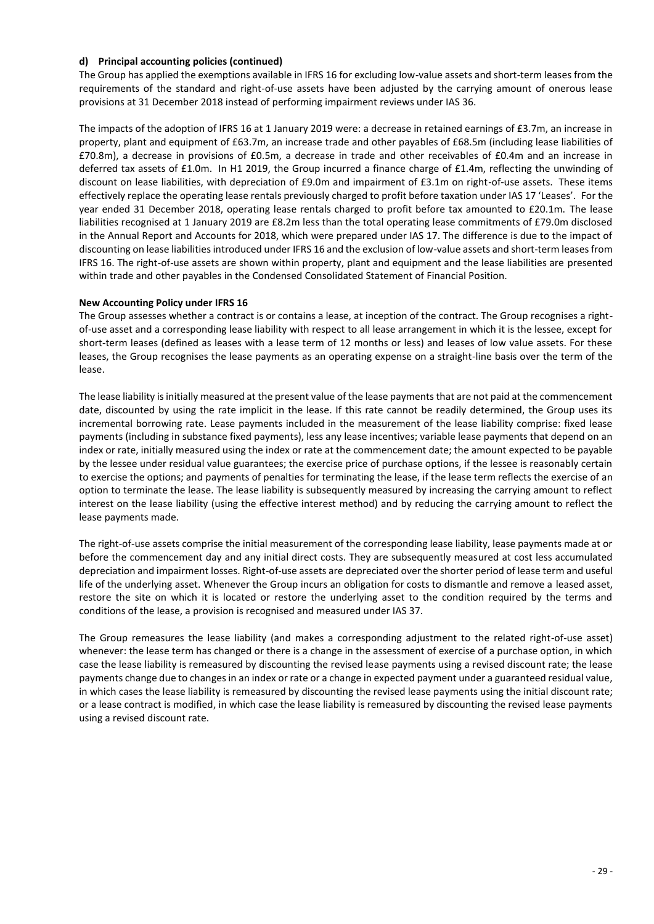#### **d) Principal accounting policies (continued)**

The Group has applied the exemptions available in IFRS 16 for excluding low-value assets and short-term leases from the requirements of the standard and right-of-use assets have been adjusted by the carrying amount of onerous lease provisions at 31 December 2018 instead of performing impairment reviews under IAS 36.

The impacts of the adoption of IFRS 16 at 1 January 2019 were: a decrease in retained earnings of £3.7m, an increase in property, plant and equipment of £63.7m, an increase trade and other payables of £68.5m (including lease liabilities of £70.8m), a decrease in provisions of £0.5m, a decrease in trade and other receivables of £0.4m and an increase in deferred tax assets of £1.0m. In H1 2019, the Group incurred a finance charge of £1.4m, reflecting the unwinding of discount on lease liabilities, with depreciation of £9.0m and impairment of £3.1m on right-of-use assets. These items effectively replace the operating lease rentals previously charged to profit before taxation under IAS 17 'Leases'. For the year ended 31 December 2018, operating lease rentals charged to profit before tax amounted to £20.1m. The lease liabilities recognised at 1 January 2019 are £8.2m less than the total operating lease commitments of £79.0m disclosed in the Annual Report and Accounts for 2018, which were prepared under IAS 17. The difference is due to the impact of discounting on lease liabilities introduced under IFRS 16 and the exclusion of low-value assets and short-term leases from IFRS 16. The right-of-use assets are shown within property, plant and equipment and the lease liabilities are presented within trade and other payables in the Condensed Consolidated Statement of Financial Position.

#### **New Accounting Policy under IFRS 16**

The Group assesses whether a contract is or contains a lease, at inception of the contract. The Group recognises a rightof-use asset and a corresponding lease liability with respect to all lease arrangement in which it is the lessee, except for short-term leases (defined as leases with a lease term of 12 months or less) and leases of low value assets. For these leases, the Group recognises the lease payments as an operating expense on a straight-line basis over the term of the lease.

The lease liability is initially measured at the present value of the lease payments that are not paid at the commencement date, discounted by using the rate implicit in the lease. If this rate cannot be readily determined, the Group uses its incremental borrowing rate. Lease payments included in the measurement of the lease liability comprise: fixed lease payments (including in substance fixed payments), less any lease incentives; variable lease payments that depend on an index or rate, initially measured using the index or rate at the commencement date; the amount expected to be payable by the lessee under residual value guarantees; the exercise price of purchase options, if the lessee is reasonably certain to exercise the options; and payments of penalties for terminating the lease, if the lease term reflects the exercise of an option to terminate the lease. The lease liability is subsequently measured by increasing the carrying amount to reflect interest on the lease liability (using the effective interest method) and by reducing the carrying amount to reflect the lease payments made.

The right-of-use assets comprise the initial measurement of the corresponding lease liability, lease payments made at or before the commencement day and any initial direct costs. They are subsequently measured at cost less accumulated depreciation and impairment losses. Right-of-use assets are depreciated over the shorter period of lease term and useful life of the underlying asset. Whenever the Group incurs an obligation for costs to dismantle and remove a leased asset, restore the site on which it is located or restore the underlying asset to the condition required by the terms and conditions of the lease, a provision is recognised and measured under IAS 37.

The Group remeasures the lease liability (and makes a corresponding adjustment to the related right-of-use asset) whenever: the lease term has changed or there is a change in the assessment of exercise of a purchase option, in which case the lease liability is remeasured by discounting the revised lease payments using a revised discount rate; the lease payments change due to changes in an index or rate or a change in expected payment under a guaranteed residual value, in which cases the lease liability is remeasured by discounting the revised lease payments using the initial discount rate; or a lease contract is modified, in which case the lease liability is remeasured by discounting the revised lease payments using a revised discount rate.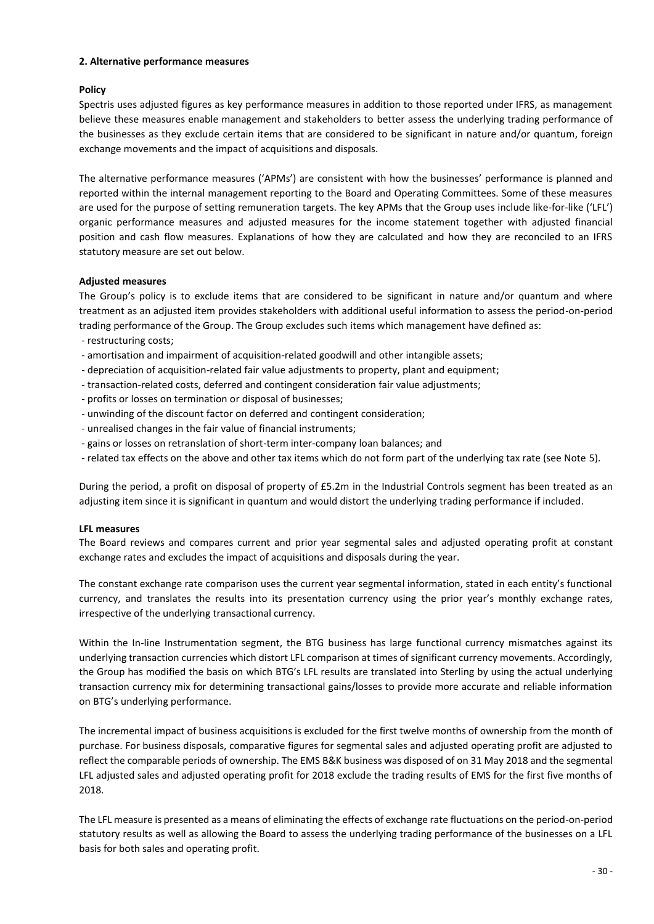#### **2. Alternative performance measures**

#### **Policy**

Spectris uses adjusted figures as key performance measures in addition to those reported under IFRS, as management believe these measures enable management and stakeholders to better assess the underlying trading performance of the businesses as they exclude certain items that are considered to be significant in nature and/or quantum, foreign exchange movements and the impact of acquisitions and disposals.

The alternative performance measures ('APMs') are consistent with how the businesses' performance is planned and reported within the internal management reporting to the Board and Operating Committees. Some of these measures are used for the purpose of setting remuneration targets. The key APMs that the Group uses include like-for-like ('LFL') organic performance measures and adjusted measures for the income statement together with adjusted financial position and cash flow measures. Explanations of how they are calculated and how they are reconciled to an IFRS statutory measure are set out below.

#### **Adjusted measures**

The Group's policy is to exclude items that are considered to be significant in nature and/or quantum and where treatment as an adjusted item provides stakeholders with additional useful information to assess the period-on-period trading performance of the Group. The Group excludes such items which management have defined as:

- restructuring costs;
- amortisation and impairment of acquisition-related goodwill and other intangible assets;
- depreciation of acquisition-related fair value adjustments to property, plant and equipment;
- transaction-related costs, deferred and contingent consideration fair value adjustments;
- profits or losses on termination or disposal of businesses;
- unwinding of the discount factor on deferred and contingent consideration;
- unrealised changes in the fair value of financial instruments;
- gains or losses on retranslation of short-term inter-company loan balances; and
- related tax effects on the above and other tax items which do not form part of the underlying tax rate (see Note 5).

During the period, a profit on disposal of property of £5.2m in the Industrial Controls segment has been treated as an adjusting item since it is significant in quantum and would distort the underlying trading performance if included.

#### **LFL measures**

The Board reviews and compares current and prior year segmental sales and adjusted operating profit at constant exchange rates and excludes the impact of acquisitions and disposals during the year.

The constant exchange rate comparison uses the current year segmental information, stated in each entity's functional currency, and translates the results into its presentation currency using the prior year's monthly exchange rates, irrespective of the underlying transactional currency.

Within the In-line Instrumentation segment, the BTG business has large functional currency mismatches against its underlying transaction currencies which distort LFL comparison at times of significant currency movements. Accordingly, the Group has modified the basis on which BTG's LFL results are translated into Sterling by using the actual underlying transaction currency mix for determining transactional gains/losses to provide more accurate and reliable information on BTG's underlying performance.

The incremental impact of business acquisitions is excluded for the first twelve months of ownership from the month of purchase. For business disposals, comparative figures for segmental sales and adjusted operating profit are adjusted to reflect the comparable periods of ownership. The EMS B&K business was disposed of on 31 May 2018 and the segmental LFL adjusted sales and adjusted operating profit for 2018 exclude the trading results of EMS for the first five months of 2018.

The LFL measure is presented as a means of eliminating the effects of exchange rate fluctuations on the period-on-period statutory results as well as allowing the Board to assess the underlying trading performance of the businesses on a LFL basis for both sales and operating profit.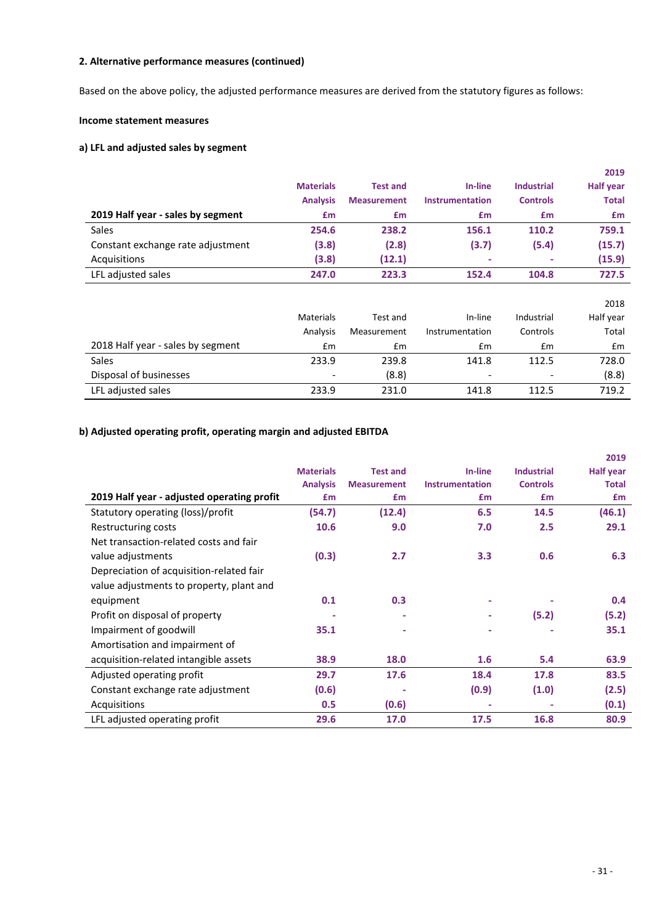Based on the above policy, the adjusted performance measures are derived from the statutory figures as follows:

#### **Income statement measures**

#### **a) LFL and adjusted sales by segment**

|                                   |                  |                    |                        |                   | 2019             |
|-----------------------------------|------------------|--------------------|------------------------|-------------------|------------------|
|                                   | <b>Materials</b> | <b>Test and</b>    | In-line                | <b>Industrial</b> | <b>Half year</b> |
|                                   | <b>Analysis</b>  | <b>Measurement</b> | <b>Instrumentation</b> | <b>Controls</b>   | <b>Total</b>     |
| 2019 Half year - sales by segment | £m               | £m                 | £m                     | £m                | £m               |
| <b>Sales</b>                      | 254.6            | 238.2              | 156.1                  | 110.2             | 759.1            |
| Constant exchange rate adjustment | (3.8)            | (2.8)              | (3.7)                  | (5.4)             | (15.7)           |
| Acquisitions                      | (3.8)            | (12.1)             |                        |                   | (15.9)           |
| LFL adjusted sales                | 247.0            | 223.3              | 152.4                  | 104.8             | 727.5            |
|                                   |                  |                    |                        |                   |                  |
|                                   |                  |                    |                        |                   | 2018             |
|                                   | <b>Materials</b> | Test and           | In-line                | Industrial        | Half year        |
|                                   | Analysis         | Measurement        | Instrumentation        | Controls          | Total            |
| 2018 Half year - sales by segment | Em               | Em                 | £m                     | Em                | Em               |
| <b>Sales</b>                      | 233.9            | 239.8              | 141.8                  | 112.5             | 728.0            |
| Disposal of businesses            |                  | (8.8)              | ٠                      |                   | (8.8)            |

LFL adjusted sales 233.9 231.0 141.8 112.5 719.2

#### **b) Adjusted operating profit, operating margin and adjusted EBITDA**

|                                            |                  |                    |                        |                   | 2019             |
|--------------------------------------------|------------------|--------------------|------------------------|-------------------|------------------|
|                                            | <b>Materials</b> | <b>Test and</b>    | In-line                | <b>Industrial</b> | <b>Half year</b> |
|                                            | <b>Analysis</b>  | <b>Measurement</b> | <b>Instrumentation</b> | <b>Controls</b>   | <b>Total</b>     |
| 2019 Half year - adjusted operating profit | <b>£m</b>        | £m                 | £m                     | £m                | £m               |
| Statutory operating (loss)/profit          | (54.7)           | (12.4)             | 6.5                    | 14.5              | (46.1)           |
| Restructuring costs                        | 10.6             | 9.0                | 7.0                    | 2.5               | 29.1             |
| Net transaction-related costs and fair     |                  |                    |                        |                   |                  |
| value adjustments                          | (0.3)            | 2.7                | 3.3                    | 0.6               | 6.3              |
| Depreciation of acquisition-related fair   |                  |                    |                        |                   |                  |
| value adjustments to property, plant and   |                  |                    |                        |                   |                  |
| equipment                                  | 0.1              | 0.3                |                        |                   | 0.4              |
| Profit on disposal of property             |                  |                    |                        | (5.2)             | (5.2)            |
| Impairment of goodwill                     | 35.1             |                    |                        |                   | 35.1             |
| Amortisation and impairment of             |                  |                    |                        |                   |                  |
| acquisition-related intangible assets      | 38.9             | 18.0               | 1.6                    | 5.4               | 63.9             |
| Adjusted operating profit                  | 29.7             | 17.6               | 18.4                   | 17.8              | 83.5             |
| Constant exchange rate adjustment          | (0.6)            |                    | (0.9)                  | (1.0)             | (2.5)            |
| Acquisitions                               | 0.5              | (0.6)              |                        |                   | (0.1)            |
| LFL adjusted operating profit              | 29.6             | 17.0               | 17.5                   | 16.8              | 80.9             |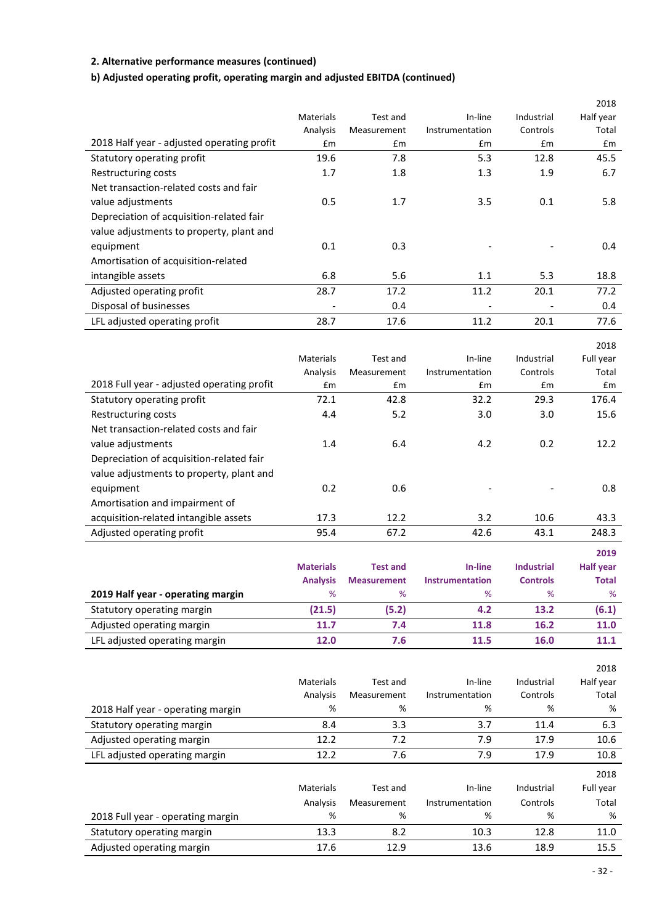#### **b) Adjusted operating profit, operating margin and adjusted EBITDA (continued)**

|                                            |                          |             |                          |            | 2018      |
|--------------------------------------------|--------------------------|-------------|--------------------------|------------|-----------|
|                                            | Materials                | Test and    | In-line                  | Industrial | Half year |
|                                            | Analysis                 | Measurement | Instrumentation          | Controls   | Total     |
| 2018 Half year - adjusted operating profit | £m                       | Em          | Em                       | £m         | £m        |
| Statutory operating profit                 | 19.6                     | 7.8         | 5.3                      | 12.8       | 45.5      |
| Restructuring costs                        | 1.7                      | 1.8         | 1.3                      | 1.9        | 6.7       |
| Net transaction-related costs and fair     |                          |             |                          |            |           |
| value adjustments                          | 0.5                      | 1.7         | 3.5                      | 0.1        | 5.8       |
| Depreciation of acquisition-related fair   |                          |             |                          |            |           |
| value adjustments to property, plant and   |                          |             |                          |            |           |
| equipment                                  | 0.1                      | 0.3         |                          |            | 0.4       |
| Amortisation of acquisition-related        |                          |             |                          |            |           |
| intangible assets                          | 6.8                      | 5.6         | 1.1                      | 5.3        | 18.8      |
| Adjusted operating profit                  | 28.7                     | 17.2        | 11.2                     | 20.1       | 77.2      |
| Disposal of businesses                     | $\overline{\phantom{a}}$ | 0.4         | $\overline{\phantom{a}}$ |            | 0.4       |
| LFL adjusted operating profit              | 28.7                     | 17.6        | 11.2                     | 20.1       | 77.6      |
|                                            |                          |             |                          |            | 2018      |

|                                            | <b>Materials</b> | Test and    | In-line         | Industrial | Full year |
|--------------------------------------------|------------------|-------------|-----------------|------------|-----------|
|                                            | Analysis         | Measurement | Instrumentation | Controls   | Total     |
| 2018 Full year - adjusted operating profit | £m               | £m          | £m              | Em         | £m        |
| Statutory operating profit                 | 72.1             | 42.8        | 32.2            | 29.3       | 176.4     |
| Restructuring costs                        | 4.4              | 5.2         | 3.0             | 3.0        | 15.6      |
| Net transaction-related costs and fair     |                  |             |                 |            |           |
| value adjustments                          | 1.4              | 6.4         | 4.2             | 0.2        | 12.2      |
| Depreciation of acquisition-related fair   |                  |             |                 |            |           |
| value adjustments to property, plant and   |                  |             |                 |            |           |
| equipment                                  | 0.2              | 0.6         |                 |            | 0.8       |
| Amortisation and impairment of             |                  |             |                 |            |           |
| acquisition-related intangible assets      | 17.3             | 12.2        | 3.2             | 10.6       | 43.3      |
| Adjusted operating profit                  | 95.4             | 67.2        | 42.6            | 43.1       | 248.3     |

|                                   |                  |                    |                 |                   | 2019             |
|-----------------------------------|------------------|--------------------|-----------------|-------------------|------------------|
|                                   | <b>Materials</b> | <b>Test and</b>    | In-line         | <b>Industrial</b> | <b>Half year</b> |
|                                   | <b>Analysis</b>  | <b>Measurement</b> | Instrumentation | <b>Controls</b>   | <b>Total</b>     |
| 2019 Half year - operating margin | %                | %                  | %               | %                 | %                |
| Statutory operating margin        | (21.5)           | (5.2)              | 4.2             | 13.2              | (6.1)            |
| Adjusted operating margin         | 11.7             | 7.4                | 11.8            | 16.2              | 11.0             |
| LFL adjusted operating margin     | 12.0             | 7.6                | 11.5            | 16.0              | 11.1             |

|                                   | <b>Materials</b><br>Analysis | Test and<br>Measurement | In-line<br>Instrumentation | Industrial<br>Controls | 2018<br>Half year<br>Total |
|-----------------------------------|------------------------------|-------------------------|----------------------------|------------------------|----------------------------|
| 2018 Half year - operating margin | %                            | %                       | %                          | %                      | %                          |
| Statutory operating margin        | 8.4                          | 3.3                     | 3.7                        | 11.4                   | 6.3                        |
| Adjusted operating margin         | 12.2                         | 7.2                     | 7.9                        | 17.9                   | 10.6                       |
| LFL adjusted operating margin     | 12.2                         | 7.6                     | 7.9                        | 17.9                   | 10.8                       |
|                                   |                              |                         |                            |                        | 2018                       |
|                                   | <b>Materials</b>             | Test and                | In-line                    | Industrial             | Full year                  |
|                                   | Analysis                     | Measurement             | Instrumentation            | Controls               | Total                      |
| 2018 Full year - operating margin | %                            | %                       | %                          | %                      | %                          |
| Statutory operating margin        | 13.3                         | 8.2                     | 10.3                       | 12.8                   | 11.0                       |
| Adjusted operating margin         | 17.6                         | 12.9                    | 13.6                       | 18.9                   | 15.5                       |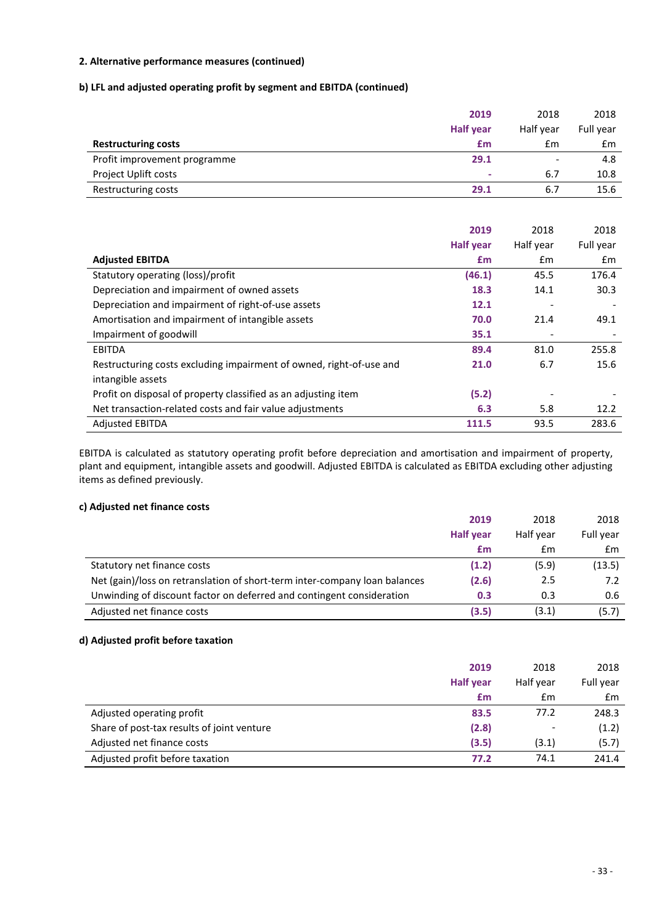#### **b) LFL and adjusted operating profit by segment and EBITDA (continued)**

|                              | 2019             | 2018                     | 2018      |
|------------------------------|------------------|--------------------------|-----------|
|                              | <b>Half year</b> | Half year                | Full year |
| <b>Restructuring costs</b>   | £m               | £m                       | £m        |
| Profit improvement programme | 29.1             | $\overline{\phantom{0}}$ | 4.8       |
| Project Uplift costs         | ۰                | 6.7                      | 10.8      |
| Restructuring costs          | 29.1             | 6.7                      | 15.6      |

|                                                                     | 2019             | 2018      | 2018      |
|---------------------------------------------------------------------|------------------|-----------|-----------|
|                                                                     | <b>Half year</b> | Half year | Full year |
| <b>Adjusted EBITDA</b>                                              | £m               | £m        | £m        |
| Statutory operating (loss)/profit                                   | (46.1)           | 45.5      | 176.4     |
| Depreciation and impairment of owned assets                         | 18.3             | 14.1      | 30.3      |
| Depreciation and impairment of right-of-use assets                  | 12.1             |           |           |
| Amortisation and impairment of intangible assets                    | 70.0             | 21.4      | 49.1      |
| Impairment of goodwill                                              | 35.1             |           |           |
| <b>EBITDA</b>                                                       | 89.4             | 81.0      | 255.8     |
| Restructuring costs excluding impairment of owned, right-of-use and | 21.0             | 6.7       | 15.6      |
| intangible assets                                                   |                  |           |           |
| Profit on disposal of property classified as an adjusting item      | (5.2)            |           |           |
| Net transaction-related costs and fair value adjustments            | 6.3              | 5.8       | 12.2      |
| <b>Adjusted EBITDA</b>                                              | 111.5            | 93.5      | 283.6     |

EBITDA is calculated as statutory operating profit before depreciation and amortisation and impairment of property, plant and equipment, intangible assets and goodwill. Adjusted EBITDA is calculated as EBITDA excluding other adjusting items as defined previously.

#### **c) Adjusted net finance costs**

|                                                                            | 2019             | 2018      | 2018      |
|----------------------------------------------------------------------------|------------------|-----------|-----------|
|                                                                            | <b>Half year</b> | Half year | Full year |
|                                                                            | £m               | £m        | £m        |
| Statutory net finance costs                                                | (1.2)            | (5.9)     | (13.5)    |
| Net (gain)/loss on retranslation of short-term inter-company loan balances | (2.6)            | 2.5       | 7.2       |
| Unwinding of discount factor on deferred and contingent consideration      | 0.3              | 0.3       | 0.6       |
| Adjusted net finance costs                                                 | (3.5)            | (3.1)     | (5.7)     |

#### **d) Adjusted profit before taxation**

|                                            | 2019             | 2018                     | 2018          |
|--------------------------------------------|------------------|--------------------------|---------------|
|                                            | <b>Half year</b> | Half year                | Full year     |
|                                            | £m               | £m                       | $\mathsf{fm}$ |
| Adjusted operating profit                  | 83.5             | 77.2                     | 248.3         |
| Share of post-tax results of joint venture | (2.8)            | $\overline{\phantom{0}}$ | (1.2)         |
| Adjusted net finance costs                 | (3.5)            | (3.1)                    | (5.7)         |
| Adjusted profit before taxation            | 77.2             | 74.1                     | 241.4         |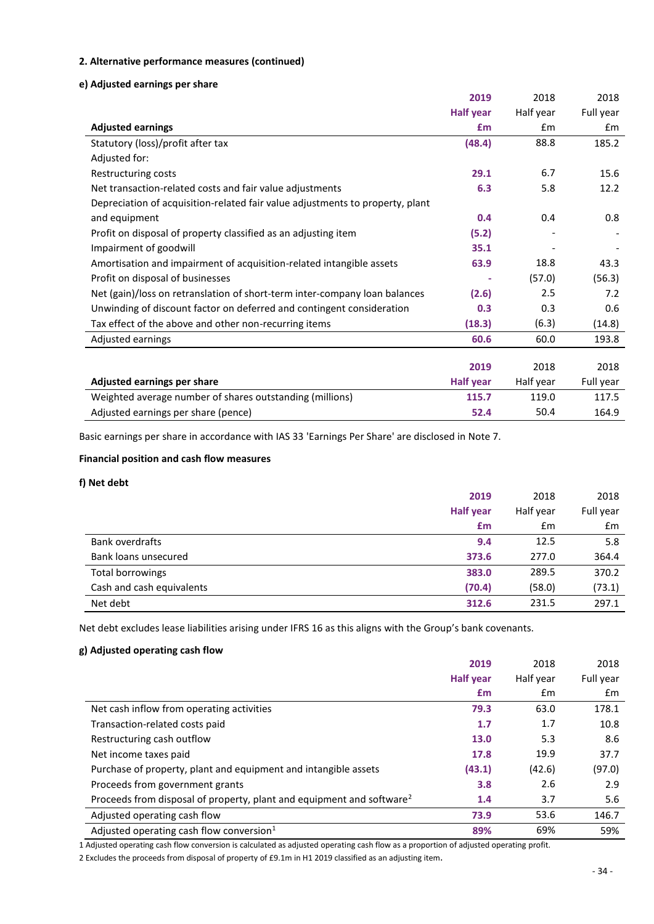#### **e) Adjusted earnings per share**

|                                                                               | 2019             | 2018      | 2018      |
|-------------------------------------------------------------------------------|------------------|-----------|-----------|
|                                                                               | <b>Half year</b> | Half year | Full year |
| <b>Adjusted earnings</b>                                                      | £m               | £m        | £m        |
| Statutory (loss)/profit after tax                                             | (48.4)           | 88.8      | 185.2     |
| Adjusted for:                                                                 |                  |           |           |
| Restructuring costs                                                           | 29.1             | 6.7       | 15.6      |
| Net transaction-related costs and fair value adjustments                      | 6.3              | 5.8       | 12.2      |
| Depreciation of acquisition-related fair value adjustments to property, plant |                  |           |           |
| and equipment                                                                 | 0.4              | 0.4       | 0.8       |
| Profit on disposal of property classified as an adjusting item                | (5.2)            |           |           |
| Impairment of goodwill                                                        | 35.1             |           |           |
| Amortisation and impairment of acquisition-related intangible assets          | 63.9             | 18.8      | 43.3      |
| Profit on disposal of businesses                                              |                  | (57.0)    | (56.3)    |
| Net (gain)/loss on retranslation of short-term inter-company loan balances    | (2.6)            | 2.5       | 7.2       |
| Unwinding of discount factor on deferred and contingent consideration         | 0.3              | 0.3       | 0.6       |
| Tax effect of the above and other non-recurring items                         | (18.3)           | (6.3)     | (14.8)    |
| Adjusted earnings                                                             | 60.6             | 60.0      | 193.8     |
|                                                                               |                  |           |           |
|                                                                               | 2019             | 2018      | 2018      |
| Adjusted earnings per share                                                   | <b>Half year</b> | Half year | Full year |
| Weighted average number of shares outstanding (millions)                      | 115.7            | 119.0     | 117.5     |

Basic earnings per share in accordance with IAS 33 'Earnings Per Share' are disclosed in Note 7.

#### **Financial position and cash flow measures**

#### **f) Net debt**

|                           | 2019             | 2018          | 2018      |
|---------------------------|------------------|---------------|-----------|
|                           | <b>Half year</b> | Half year     | Full year |
|                           | £m               | $\mathsf{fm}$ | £m        |
| <b>Bank overdrafts</b>    | 9.4              | 12.5          | 5.8       |
| Bank loans unsecured      | 373.6            | 277.0         | 364.4     |
| <b>Total borrowings</b>   | 383.0            | 289.5         | 370.2     |
| Cash and cash equivalents | (70.4)           | (58.0)        | (73.1)    |
| Net debt                  | 312.6            | 231.5         | 297.1     |

Adjusted earnings per share (pence) **52.4** 50.4 164.9

Net debt excludes lease liabilities arising under IFRS 16 as this aligns with the Group's bank covenants.

#### **g) Adjusted operating cash flow**

|                                                                                   | 2019             | 2018          | 2018           |
|-----------------------------------------------------------------------------------|------------------|---------------|----------------|
|                                                                                   | <b>Half year</b> | Half year     | Full year      |
|                                                                                   | £m               | $\mathsf{fm}$ | $\mathbf{f}$ m |
| Net cash inflow from operating activities                                         | 79.3             | 63.0          | 178.1          |
| Transaction-related costs paid                                                    | 1.7              | 1.7           | 10.8           |
| Restructuring cash outflow                                                        | 13.0             | 5.3           | 8.6            |
| Net income taxes paid                                                             | 17.8             | 19.9          | 37.7           |
| Purchase of property, plant and equipment and intangible assets                   | (43.1)           | (42.6)        | (97.0)         |
| Proceeds from government grants                                                   | 3.8              | 2.6           | 2.9            |
| Proceeds from disposal of property, plant and equipment and software <sup>2</sup> | 1.4              | 3.7           | 5.6            |
| Adjusted operating cash flow                                                      | 73.9             | 53.6          | 146.7          |
| Adjusted operating cash flow conversion $1$                                       | 89%              | 69%           | 59%            |

1 Adjusted operating cash flow conversion is calculated as adjusted operating cash flow as a proportion of adjusted operating profit.

2 Excludes the proceeds from disposal of property of £9.1m in H1 2019 classified as an adjusting item.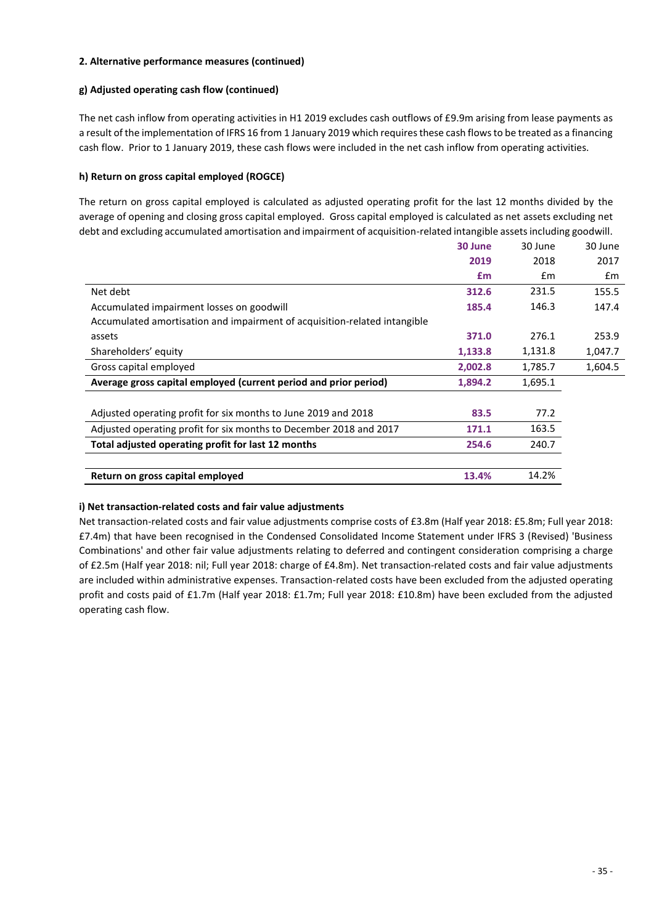#### **g) Adjusted operating cash flow (continued)**

The net cash inflow from operating activities in H1 2019 excludes cash outflows of £9.9m arising from lease payments as a result of the implementation of IFRS 16 from 1 January 2019 which requires these cash flows to be treated as a financing cash flow. Prior to 1 January 2019, these cash flows were included in the net cash inflow from operating activities.

#### **h) Return on gross capital employed (ROGCE)**

The return on gross capital employed is calculated as adjusted operating profit for the last 12 months divided by the average of opening and closing gross capital employed. Gross capital employed is calculated as net assets excluding net debt and excluding accumulated amortisation and impairment of acquisition-related intangible assets including goodwill.

|                                                                           | 30 June | 30 June | 30 June |
|---------------------------------------------------------------------------|---------|---------|---------|
|                                                                           | 2019    | 2018    | 2017    |
|                                                                           | £m      | £m      | £m      |
| Net debt                                                                  | 312.6   | 231.5   | 155.5   |
| Accumulated impairment losses on goodwill                                 | 185.4   | 146.3   | 147.4   |
| Accumulated amortisation and impairment of acquisition-related intangible |         |         |         |
| assets                                                                    | 371.0   | 276.1   | 253.9   |
| Shareholders' equity                                                      | 1,133.8 | 1,131.8 | 1,047.7 |
| Gross capital employed                                                    | 2,002.8 | 1,785.7 | 1,604.5 |
| Average gross capital employed (current period and prior period)          | 1,894.2 | 1,695.1 |         |
| Adjusted operating profit for six months to June 2019 and 2018            | 83.5    | 77.2    |         |
| Adjusted operating profit for six months to December 2018 and 2017        | 171.1   | 163.5   |         |
| Total adjusted operating profit for last 12 months                        | 254.6   | 240.7   |         |
|                                                                           |         |         |         |
| Return on gross capital employed                                          | 13.4%   | 14.2%   |         |

#### **i) Net transaction-related costs and fair value adjustments**

Net transaction-related costs and fair value adjustments comprise costs of £3.8m (Half year 2018: £5.8m; Full year 2018: £7.4m) that have been recognised in the Condensed Consolidated Income Statement under IFRS 3 (Revised) 'Business Combinations' and other fair value adjustments relating to deferred and contingent consideration comprising a charge of £2.5m (Half year 2018: nil; Full year 2018: charge of £4.8m). Net transaction-related costs and fair value adjustments are included within administrative expenses. Transaction-related costs have been excluded from the adjusted operating profit and costs paid of £1.7m (Half year 2018: £1.7m; Full year 2018: £10.8m) have been excluded from the adjusted operating cash flow.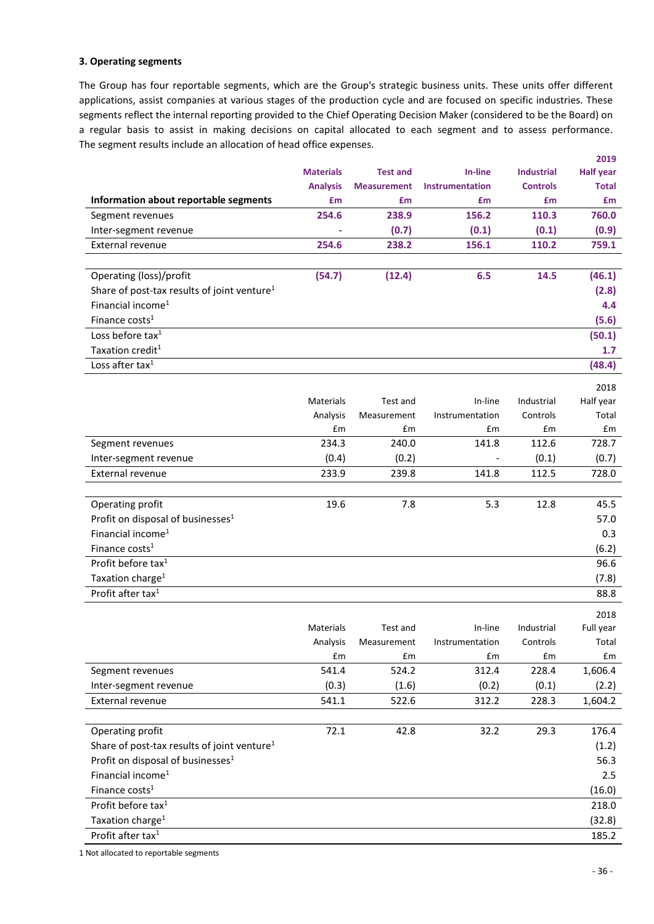#### **3. Operating segments**

The Group has four reportable segments, which are the Group's strategic business units. These units offer different applications, assist companies at various stages of the production cycle and are focused on specific industries. These segments reflect the internal reporting provided to the Chief Operating Decision Maker (considered to be the Board) on a regular basis to assist in making decisions on capital allocated to each segment and to assess performance. The segment results include an allocation of head office expenses.

|                                                         |                  |                    |                          |                   | 2019             |
|---------------------------------------------------------|------------------|--------------------|--------------------------|-------------------|------------------|
|                                                         | <b>Materials</b> | <b>Test and</b>    | In-line                  | <b>Industrial</b> | <b>Half year</b> |
|                                                         | <b>Analysis</b>  | <b>Measurement</b> | <b>Instrumentation</b>   | <b>Controls</b>   | <b>Total</b>     |
| Information about reportable segments                   | £m               | £m                 | £m                       | £m                | £m               |
| Segment revenues                                        | 254.6            | 238.9              | 156.2                    | 110.3             | 760.0            |
| Inter-segment revenue                                   |                  | (0.7)              | (0.1)                    | (0.1)             | (0.9)            |
| External revenue                                        | 254.6            | 238.2              | 156.1                    | 110.2             | 759.1            |
|                                                         |                  |                    |                          |                   |                  |
| Operating (loss)/profit                                 | (54.7)           | (12.4)             | 6.5                      | 14.5              | (46.1)           |
| Share of post-tax results of joint venture <sup>1</sup> |                  |                    |                          |                   | (2.8)            |
| Financial income <sup>1</sup>                           |                  |                    |                          |                   | 4.4              |
| Finance costs <sup>1</sup>                              |                  |                    |                          |                   | (5.6)            |
| Loss before tax <sup>1</sup>                            |                  |                    |                          |                   | (50.1)           |
| Taxation credit <sup>1</sup>                            |                  |                    |                          |                   | 1.7              |
| Loss after tax <sup>1</sup>                             |                  |                    |                          |                   | (48.4)           |
|                                                         |                  |                    |                          |                   | 2018             |
|                                                         | <b>Materials</b> | Test and           | In-line                  | Industrial        | Half year        |
|                                                         | Analysis         | Measurement        | Instrumentation          | Controls          | Total            |
|                                                         | £m               | £m                 | £m                       | £m                | £m               |
| Segment revenues                                        | 234.3            | 240.0              | 141.8                    | 112.6             | 728.7            |
| Inter-segment revenue                                   | (0.4)            | (0.2)              |                          | (0.1)             | (0.7)            |
| External revenue                                        | 233.9            | 239.8              | 141.8                    | 112.5             | 728.0            |
|                                                         |                  |                    |                          |                   |                  |
| Operating profit                                        | 19.6             | 7.8                | 5.3                      | 12.8              | 45.5             |
| Profit on disposal of businesses <sup>1</sup>           |                  |                    |                          |                   | 57.0             |
| Financial income <sup>1</sup>                           |                  |                    |                          |                   | 0.3              |
| Finance costs <sup>1</sup>                              |                  |                    |                          |                   | (6.2)            |
| Profit before tax <sup>1</sup>                          |                  |                    |                          |                   | 96.6             |
| Taxation charge <sup>1</sup>                            |                  |                    |                          |                   | (7.8)            |
| Profit after tax <sup>1</sup>                           |                  |                    |                          |                   | 88.8             |
|                                                         |                  |                    |                          |                   | 2018             |
|                                                         | Materials        | Test and           | In-line                  | Industrial        | Full year        |
|                                                         | Analysis         | Measurement        | Instrumentation          | Controls          | Total            |
|                                                         | £m               | £m                 | $\pmb{\text{f}}\text{m}$ | £m                | £m               |
| Segment revenues                                        | 541.4            | 524.2              | 312.4                    | 228.4             | 1,606.4          |
| Inter-segment revenue                                   | (0.3)            | (1.6)              | (0.2)                    | (0.1)             | (2.2)            |
| External revenue                                        | 541.1            | 522.6              | 312.2                    | 228.3             | 1,604.2          |
|                                                         |                  |                    |                          |                   |                  |
| Operating profit                                        | 72.1             | 42.8               | 32.2                     | 29.3              | 176.4            |
| Share of post-tax results of joint venture <sup>1</sup> |                  |                    |                          |                   | (1.2)            |
| Profit on disposal of businesses <sup>1</sup>           |                  |                    |                          |                   | 56.3             |
| Financial income <sup>1</sup>                           |                  |                    |                          |                   | 2.5              |
| Finance costs <sup>1</sup>                              |                  |                    |                          |                   | (16.0)           |
| Profit before tax <sup>1</sup>                          |                  |                    |                          |                   | 218.0            |
| Taxation charge <sup>1</sup>                            |                  |                    |                          |                   | (32.8)           |
| Profit after tax <sup>1</sup>                           |                  |                    |                          |                   | 185.2            |
|                                                         |                  |                    |                          |                   |                  |

1 Not allocated to reportable segments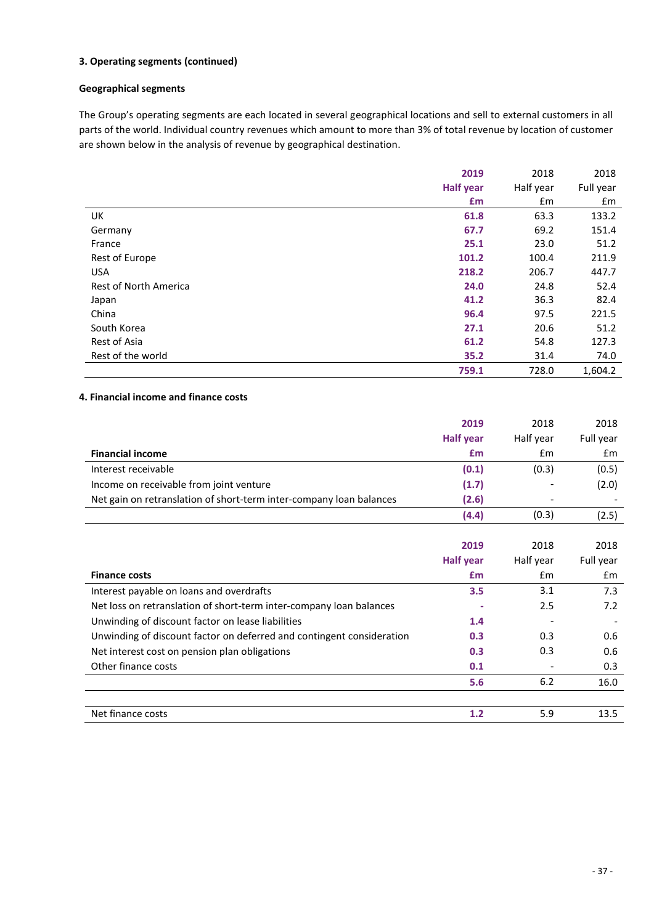#### **3. Operating segments (continued)**

#### **Geographical segments**

The Group's operating segments are each located in several geographical locations and sell to external customers in all parts of the world. Individual country revenues which amount to more than 3% of total revenue by location of customer are shown below in the analysis of revenue by geographical destination.

|                              | 2019             | 2018      | 2018      |
|------------------------------|------------------|-----------|-----------|
|                              | <b>Half year</b> | Half year | Full year |
|                              | £m               | £m        | £m        |
| UK                           | 61.8             | 63.3      | 133.2     |
| Germany                      | 67.7             | 69.2      | 151.4     |
| France                       | 25.1             | 23.0      | 51.2      |
| Rest of Europe               | 101.2            | 100.4     | 211.9     |
| <b>USA</b>                   | 218.2            | 206.7     | 447.7     |
| <b>Rest of North America</b> | 24.0             | 24.8      | 52.4      |
| Japan                        | 41.2             | 36.3      | 82.4      |
| China                        | 96.4             | 97.5      | 221.5     |
| South Korea                  | 27.1             | 20.6      | 51.2      |
| Rest of Asia                 | 61.2             | 54.8      | 127.3     |
| Rest of the world            | 35.2             | 31.4      | 74.0      |
|                              | 759.1            | 728.0     | 1,604.2   |

#### **4. Financial income and finance costs**

|                                                                     | 2019             | 2018      | 2018      |
|---------------------------------------------------------------------|------------------|-----------|-----------|
|                                                                     | <b>Half year</b> | Half year | Full year |
| <b>Financial income</b>                                             | £m               | £m        | £m        |
| Interest receivable                                                 | (0.1)            | (0.3)     | (0.5)     |
| Income on receivable from joint venture                             | (1.7)            |           | (2.0)     |
| Net gain on retranslation of short-term inter-company loan balances | (2.6)            |           |           |
|                                                                     | (4.4)            | (0.3)     | (2.5)     |
|                                                                     |                  |           |           |

|                                                                       | 2019             | 2018          | 2018      |
|-----------------------------------------------------------------------|------------------|---------------|-----------|
|                                                                       | <b>Half year</b> | Half year     | Full year |
| <b>Finance costs</b>                                                  | £m               | $\mathsf{fm}$ | £m        |
| Interest payable on loans and overdrafts                              | 3.5              | 3.1           | 7.3       |
| Net loss on retranslation of short-term inter-company loan balances   |                  | 2.5           | 7.2       |
| Unwinding of discount factor on lease liabilities                     | 1.4              |               |           |
| Unwinding of discount factor on deferred and contingent consideration | 0.3              | 0.3           | 0.6       |
| Net interest cost on pension plan obligations                         | 0.3              | 0.3           | 0.6       |
| Other finance costs                                                   | 0.1              |               | 0.3       |
|                                                                       | 5.6              | 6.2           | 16.0      |
|                                                                       |                  |               |           |
| Net finance costs                                                     | 1.2              | 5.9           | 13.5      |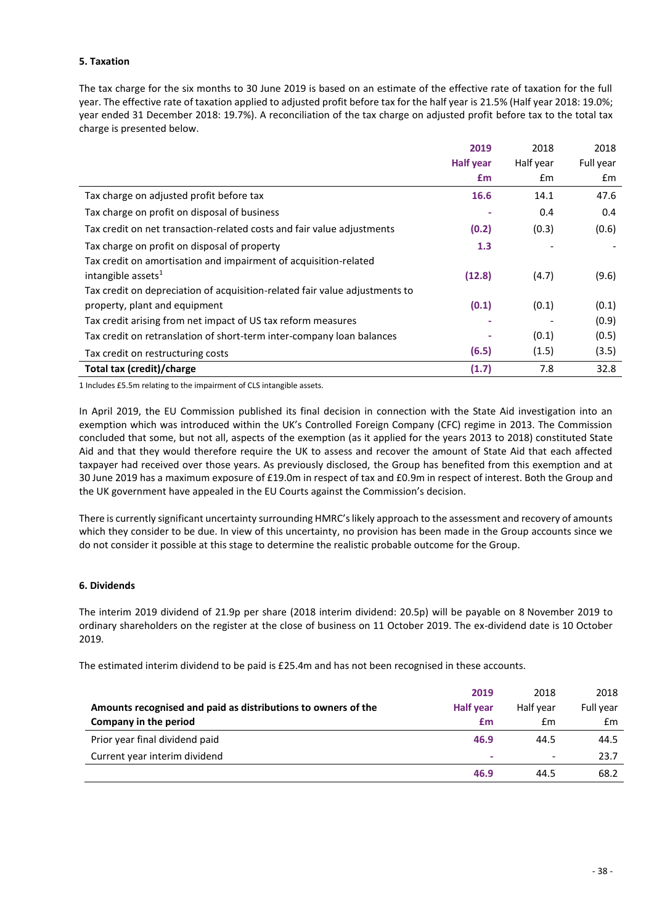#### **5. Taxation**

The tax charge for the six months to 30 June 2019 is based on an estimate of the effective rate of taxation for the full year. The effective rate of taxation applied to adjusted profit before tax for the half year is 21.5% (Half year 2018: 19.0%; year ended 31 December 2018: 19.7%). A reconciliation of the tax charge on adjusted profit before tax to the total tax charge is presented below.

|                                                                             | 2019             | 2018      | 2018      |
|-----------------------------------------------------------------------------|------------------|-----------|-----------|
|                                                                             | <b>Half year</b> | Half year | Full year |
|                                                                             | £m               | £m        | £m        |
| Tax charge on adjusted profit before tax                                    | 16.6             | 14.1      | 47.6      |
| Tax charge on profit on disposal of business                                |                  | 0.4       | 0.4       |
| Tax credit on net transaction-related costs and fair value adjustments      | (0.2)            | (0.3)     | (0.6)     |
| Tax charge on profit on disposal of property                                | 1.3              |           |           |
| Tax credit on amortisation and impairment of acquisition-related            |                  |           |           |
| intangible assets $1$                                                       | (12.8)           | (4.7)     | (9.6)     |
| Tax credit on depreciation of acquisition-related fair value adjustments to |                  |           |           |
| property, plant and equipment                                               | (0.1)            | (0.1)     | (0.1)     |
| Tax credit arising from net impact of US tax reform measures                |                  |           | (0.9)     |
| Tax credit on retranslation of short-term inter-company loan balances       |                  | (0.1)     | (0.5)     |
| Tax credit on restructuring costs                                           | (6.5)            | (1.5)     | (3.5)     |
| Total tax (credit)/charge                                                   | (1.7)            | 7.8       | 32.8      |

1 Includes £5.5m relating to the impairment of CLS intangible assets.

In April 2019, the EU Commission published its final decision in connection with the State Aid investigation into an exemption which was introduced within the UK's Controlled Foreign Company (CFC) regime in 2013. The Commission concluded that some, but not all, aspects of the exemption (as it applied for the years 2013 to 2018) constituted State Aid and that they would therefore require the UK to assess and recover the amount of State Aid that each affected taxpayer had received over those years. As previously disclosed, the Group has benefited from this exemption and at 30 June 2019 has a maximum exposure of £19.0m in respect of tax and £0.9m in respect of interest. Both the Group and the UK government have appealed in the EU Courts against the Commission's decision.

There is currently significant uncertainty surrounding HMRC's likely approach to the assessment and recovery of amounts which they consider to be due. In view of this uncertainty, no provision has been made in the Group accounts since we do not consider it possible at this stage to determine the realistic probable outcome for the Group.

#### **6. Dividends**

The interim 2019 dividend of 21.9p per share (2018 interim dividend: 20.5p) will be payable on 8 November 2019 to ordinary shareholders on the register at the close of business on 11 October 2019. The ex-dividend date is 10 October 2019.

The estimated interim dividend to be paid is £25.4m and has not been recognised in these accounts.

|                                                               | 2019             | 2018                     | 2018      |
|---------------------------------------------------------------|------------------|--------------------------|-----------|
| Amounts recognised and paid as distributions to owners of the | <b>Half year</b> | Half vear                | Full year |
| Company in the period                                         | £m               | £m                       | £m        |
| Prior year final dividend paid                                | 46.9             | 44.5                     | 44.5      |
| Current year interim dividend                                 |                  | $\overline{\phantom{a}}$ | 23.7      |
|                                                               | 46.9             | 44.5                     | 68.2      |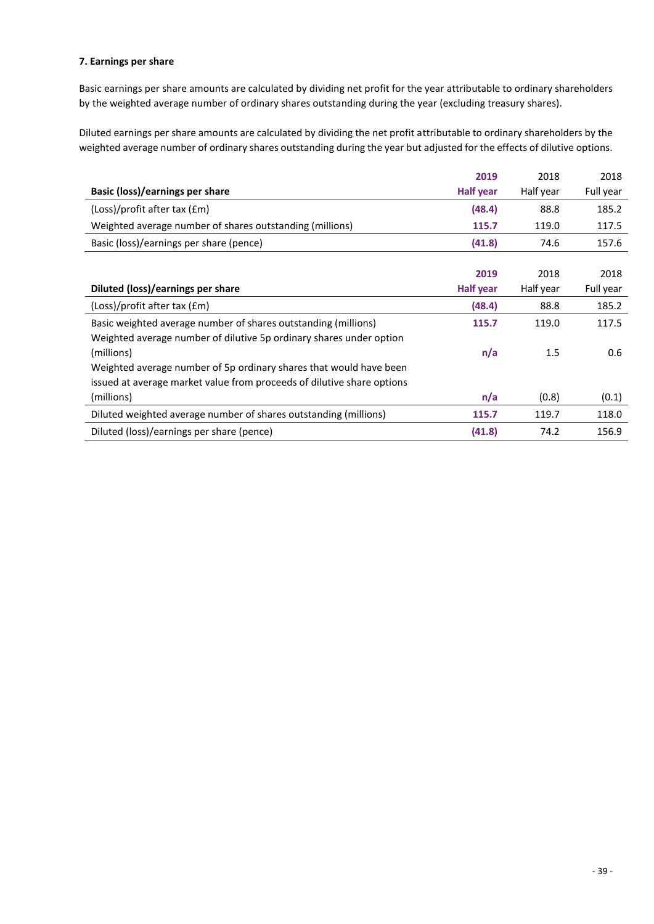#### **7. Earnings per share**

Basic earnings per share amounts are calculated by dividing net profit for the year attributable to ordinary shareholders by the weighted average number of ordinary shares outstanding during the year (excluding treasury shares).

Diluted earnings per share amounts are calculated by dividing the net profit attributable to ordinary shareholders by the weighted average number of ordinary shares outstanding during the year but adjusted for the effects of dilutive options.

|                                                                        | 2019             | 2018      | 2018      |
|------------------------------------------------------------------------|------------------|-----------|-----------|
| Basic (loss)/earnings per share                                        | <b>Half year</b> | Half year | Full year |
| (Loss)/profit after tax (£m)                                           | (48.4)           | 88.8      | 185.2     |
| Weighted average number of shares outstanding (millions)               | 115.7            | 119.0     | 117.5     |
| Basic (loss)/earnings per share (pence)                                | (41.8)           | 74.6      | 157.6     |
|                                                                        |                  |           |           |
|                                                                        | 2019             | 2018      | 2018      |
| Diluted (loss)/earnings per share                                      | <b>Half year</b> | Half year | Full year |
| (Loss)/profit after tax (£m)                                           | (48.4)           | 88.8      | 185.2     |
| Basic weighted average number of shares outstanding (millions)         | 115.7            | 119.0     | 117.5     |
| Weighted average number of dilutive 5p ordinary shares under option    |                  |           |           |
| (millions)                                                             | n/a              | 1.5       | 0.6       |
| Weighted average number of 5p ordinary shares that would have been     |                  |           |           |
| issued at average market value from proceeds of dilutive share options |                  |           |           |
| (millions)                                                             | n/a              | (0.8)     | (0.1)     |
| Diluted weighted average number of shares outstanding (millions)       | 115.7            | 119.7     | 118.0     |
| Diluted (loss)/earnings per share (pence)                              | (41.8)           | 74.2      | 156.9     |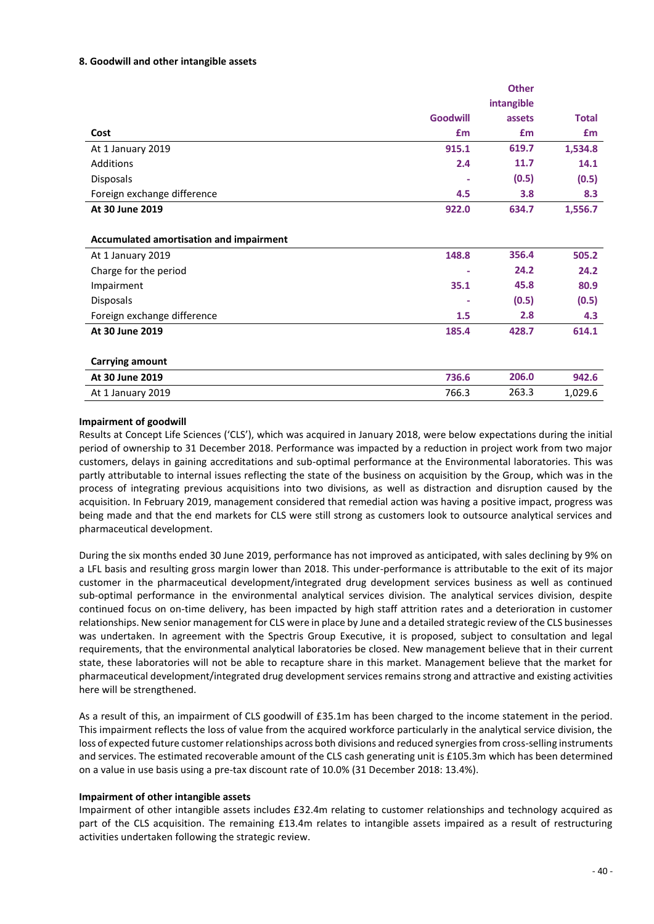#### **8. Goodwill and other intangible assets**

|                                         |                 | <b>Other</b> |              |
|-----------------------------------------|-----------------|--------------|--------------|
|                                         |                 | intangible   |              |
|                                         | <b>Goodwill</b> | assets       | <b>Total</b> |
| Cost                                    | £m              | £m           | <b>£m</b>    |
| At 1 January 2019                       | 915.1           | 619.7        | 1,534.8      |
| Additions                               | 2.4             | 11.7         | 14.1         |
| Disposals                               |                 | (0.5)        | (0.5)        |
| Foreign exchange difference             | 4.5             | 3.8          | 8.3          |
| At 30 June 2019                         | 922.0           | 634.7        | 1,556.7      |
|                                         |                 |              |              |
| Accumulated amortisation and impairment |                 |              |              |
| At 1 January 2019                       | 148.8           | 356.4        | 505.2        |
| Charge for the period                   |                 | 24.2         | 24.2         |
| Impairment                              | 35.1            | 45.8         | 80.9         |
| Disposals                               |                 | (0.5)        | (0.5)        |
| Foreign exchange difference             | 1.5             | 2.8          | 4.3          |
| At 30 June 2019                         | 185.4           | 428.7        | 614.1        |
|                                         |                 |              |              |
| <b>Carrying amount</b>                  |                 |              |              |
| At 30 June 2019                         | 736.6           | 206.0        | 942.6        |
| At 1 January 2019                       | 766.3           | 263.3        | 1,029.6      |

#### **Impairment of goodwill**

Results at Concept Life Sciences ('CLS'), which was acquired in January 2018, were below expectations during the initial period of ownership to 31 December 2018. Performance was impacted by a reduction in project work from two major customers, delays in gaining accreditations and sub-optimal performance at the Environmental laboratories. This was partly attributable to internal issues reflecting the state of the business on acquisition by the Group, which was in the process of integrating previous acquisitions into two divisions, as well as distraction and disruption caused by the acquisition. In February 2019, management considered that remedial action was having a positive impact, progress was being made and that the end markets for CLS were still strong as customers look to outsource analytical services and pharmaceutical development.

During the six months ended 30 June 2019, performance has not improved as anticipated, with sales declining by 9% on a LFL basis and resulting gross margin lower than 2018. This under-performance is attributable to the exit of its major customer in the pharmaceutical development/integrated drug development services business as well as continued sub-optimal performance in the environmental analytical services division. The analytical services division, despite continued focus on on-time delivery, has been impacted by high staff attrition rates and a deterioration in customer relationships. New senior management for CLS were in place by June and a detailed strategic review of the CLS businesses was undertaken. In agreement with the Spectris Group Executive, it is proposed, subject to consultation and legal requirements, that the environmental analytical laboratories be closed. New management believe that in their current state, these laboratories will not be able to recapture share in this market. Management believe that the market for pharmaceutical development/integrated drug development services remains strong and attractive and existing activities here will be strengthened.

As a result of this, an impairment of CLS goodwill of £35.1m has been charged to the income statement in the period. This impairment reflects the loss of value from the acquired workforce particularly in the analytical service division, the loss of expected future customer relationships across both divisions and reduced synergies from cross-selling instruments and services. The estimated recoverable amount of the CLS cash generating unit is £105.3m which has been determined on a value in use basis using a pre-tax discount rate of 10.0% (31 December 2018: 13.4%).

#### **Impairment of other intangible assets**

Impairment of other intangible assets includes £32.4m relating to customer relationships and technology acquired as part of the CLS acquisition. The remaining £13.4m relates to intangible assets impaired as a result of restructuring activities undertaken following the strategic review.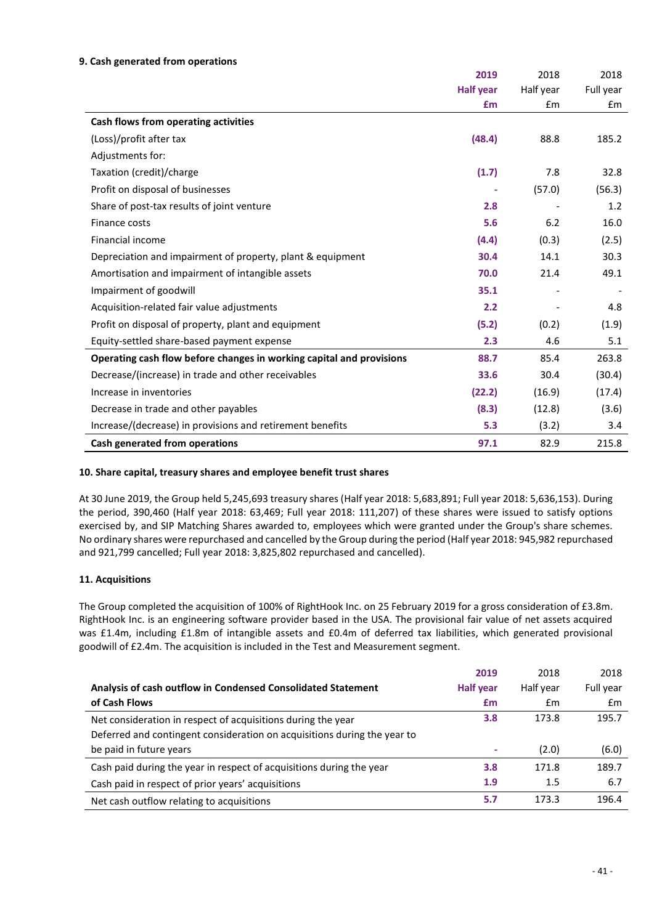#### **9. Cash generated from operations**

|                                                                      | 2019             | 2018      | 2018      |
|----------------------------------------------------------------------|------------------|-----------|-----------|
|                                                                      | <b>Half year</b> | Half year | Full year |
|                                                                      | £m               | Em        | £m        |
| Cash flows from operating activities                                 |                  |           |           |
| (Loss)/profit after tax                                              | (48.4)           | 88.8      | 185.2     |
| Adjustments for:                                                     |                  |           |           |
| Taxation (credit)/charge                                             | (1.7)            | 7.8       | 32.8      |
| Profit on disposal of businesses                                     |                  | (57.0)    | (56.3)    |
| Share of post-tax results of joint venture                           | 2.8              |           | 1.2       |
| Finance costs                                                        | 5.6              | 6.2       | 16.0      |
| Financial income                                                     | (4.4)            | (0.3)     | (2.5)     |
| Depreciation and impairment of property, plant & equipment           | 30.4             | 14.1      | 30.3      |
| Amortisation and impairment of intangible assets                     | 70.0             | 21.4      | 49.1      |
| Impairment of goodwill                                               | 35.1             |           |           |
| Acquisition-related fair value adjustments                           | 2.2              |           | 4.8       |
| Profit on disposal of property, plant and equipment                  | (5.2)            | (0.2)     | (1.9)     |
| Equity-settled share-based payment expense                           | 2.3              | 4.6       | 5.1       |
| Operating cash flow before changes in working capital and provisions | 88.7             | 85.4      | 263.8     |
| Decrease/(increase) in trade and other receivables                   | 33.6             | 30.4      | (30.4)    |
| Increase in inventories                                              | (22.2)           | (16.9)    | (17.4)    |
| Decrease in trade and other payables                                 | (8.3)            | (12.8)    | (3.6)     |
| Increase/(decrease) in provisions and retirement benefits            | 5.3              | (3.2)     | 3.4       |
| Cash generated from operations                                       | 97.1             | 82.9      | 215.8     |

#### **10. Share capital, treasury shares and employee benefit trust shares**

At 30 June 2019, the Group held 5,245,693 treasury shares (Half year 2018: 5,683,891; Full year 2018: 5,636,153). During the period, 390,460 (Half year 2018: 63,469; Full year 2018: 111,207) of these shares were issued to satisfy options exercised by, and SIP Matching Shares awarded to, employees which were granted under the Group's share schemes. No ordinary shares were repurchased and cancelled by the Group during the period (Half year 2018: 945,982 repurchased and 921,799 cancelled; Full year 2018: 3,825,802 repurchased and cancelled).

#### **11. Acquisitions**

The Group completed the acquisition of 100% of RightHook Inc. on 25 February 2019 for a gross consideration of £3.8m. RightHook Inc. is an engineering software provider based in the USA. The provisional fair value of net assets acquired was £1.4m, including £1.8m of intangible assets and £0.4m of deferred tax liabilities, which generated provisional goodwill of £2.4m. The acquisition is included in the Test and Measurement segment.

|                                                                          | 2019             | 2018      | 2018      |
|--------------------------------------------------------------------------|------------------|-----------|-----------|
| Analysis of cash outflow in Condensed Consolidated Statement             | <b>Half year</b> | Half year | Full year |
| of Cash Flows                                                            | £m               | £m        | £m        |
| Net consideration in respect of acquisitions during the year             | 3.8              | 173.8     | 195.7     |
| Deferred and contingent consideration on acquisitions during the year to |                  |           |           |
| be paid in future years                                                  | ۰                | (2.0)     | (6.0)     |
| Cash paid during the year in respect of acquisitions during the year     | 3.8              | 171.8     | 189.7     |
| Cash paid in respect of prior years' acquisitions                        | 1.9              | 1.5       | 6.7       |
| Net cash outflow relating to acquisitions                                | 5.7              | 173.3     | 196.4     |